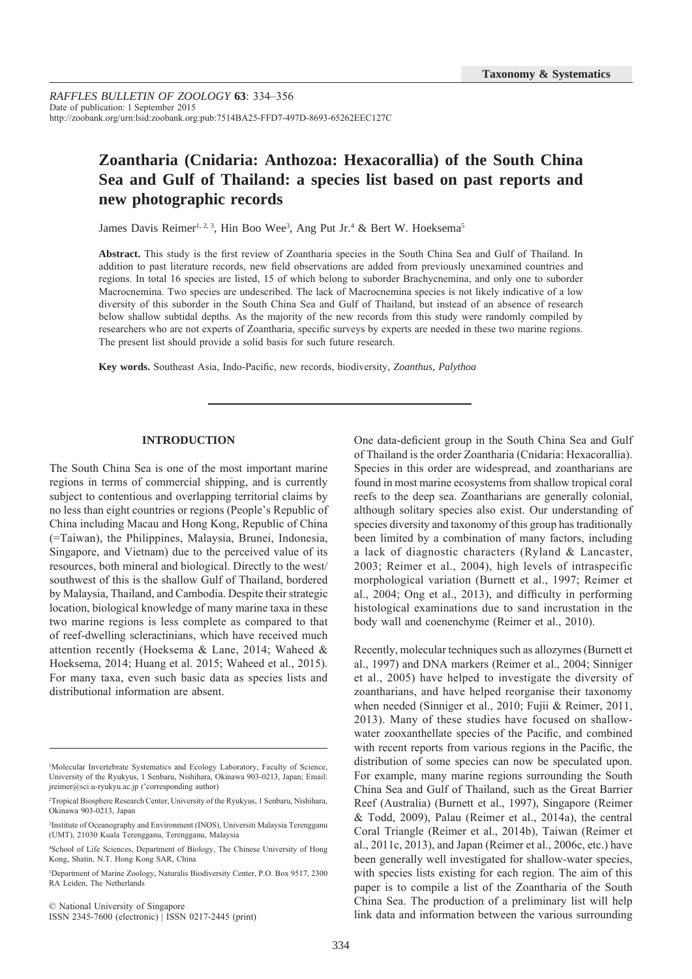# **Zoantharia (Cnidaria: Anthozoa: Hexacorallia) of the South China Sea and Gulf of Thailand: a species list based on past reports and new photographic records**

James Davis Reimer<sup>1, 2, 3</sup>, Hin Boo Wee<sup>3</sup>, Ang Put Jr.<sup>4</sup> & Bert W. Hoeksema<sup>5</sup>

**Abstract.** This study is the first review of Zoantharia species in the South China Sea and Gulf of Thailand. In addition to past literature records, new field observations are added from previously unexamined countries and regions. In total 16 species are listed, 15 of which belong to suborder Brachycnemina, and only one to suborder Macrocnemina. Two species are undescribed. The lack of Macrocnemina species is not likely indicative of a low diversity of this suborder in the South China Sea and Gulf of Thailand, but instead of an absence of research below shallow subtidal depths. As the majority of the new records from this study were randomly compiled by researchers who are not experts of Zoantharia, specific surveys by experts are needed in these two marine regions. The present list should provide a solid basis for such future research.

**Key words.** Southeast Asia, Indo-Pacific, new records, biodiversity, *Zoanthus*, *Palythoa*

# **INTRODUCTION**

The South China Sea is one of the most important marine regions in terms of commercial shipping, and is currently subject to contentious and overlapping territorial claims by no less than eight countries or regions (People's Republic of China including Macau and Hong Kong, Republic of China (=Taiwan), the Philippines, Malaysia, Brunei, Indonesia, Singapore, and Vietnam) due to the perceived value of its resources, both mineral and biological. Directly to the west/ southwest of this is the shallow Gulf of Thailand, bordered by Malaysia, Thailand, and Cambodia. Despite their strategic location, biological knowledge of many marine taxa in these two marine regions is less complete as compared to that of reef-dwelling scleractinians, which have received much attention recently (Hoeksema & Lane, 2014; Waheed & Hoeksema, 2014; Huang et al. 2015; Waheed et al., 2015). For many taxa, even such basic data as species lists and distributional information are absent.

© National University of Singapore ISSN 2345-7600 (electronic) | ISSN 0217-2445 (print) One data-deficient group in the South China Sea and Gulf of Thailand is the order Zoantharia (Cnidaria: Hexacorallia). Species in this order are widespread, and zoantharians are found in most marine ecosystems from shallow tropical coral reefs to the deep sea. Zoantharians are generally colonial, although solitary species also exist. Our understanding of species diversity and taxonomy of this group has traditionally been limited by a combination of many factors, including a lack of diagnostic characters (Ryland & Lancaster, 2003; Reimer et al., 2004), high levels of intraspecific morphological variation (Burnett et al., 1997; Reimer et al., 2004; Ong et al., 2013), and difficulty in performing histological examinations due to sand incrustation in the body wall and coenenchyme (Reimer et al., 2010).

Recently, molecular techniques such as allozymes (Burnett et al., 1997) and DNA markers (Reimer et al., 2004; Sinniger et al., 2005) have helped to investigate the diversity of zoantharians, and have helped reorganise their taxonomy when needed (Sinniger et al., 2010; Fujii & Reimer, 2011, 2013). Many of these studies have focused on shallowwater zooxanthellate species of the Pacific, and combined with recent reports from various regions in the Pacific, the distribution of some species can now be speculated upon. For example, many marine regions surrounding the South China Sea and Gulf of Thailand, such as the Great Barrier Reef (Australia) (Burnett et al., 1997), Singapore (Reimer & Todd, 2009), Palau (Reimer et al., 2014a), the central Coral Triangle (Reimer et al., 2014b), Taiwan (Reimer et al., 2011c, 2013), and Japan (Reimer et al., 2006c, etc.) have been generally well investigated for shallow-water species, with species lists existing for each region. The aim of this paper is to compile a list of the Zoantharia of the South China Sea. The production of a preliminary list will help link data and information between the various surrounding

<sup>1</sup> Molecular Invertebrate Systematics and Ecology Laboratory, Faculty of Science, University of the Ryukyus, 1 Senbaru, Nishihara, Okinawa 903-0213, Japan; Email: jreimer@sci.u-ryukyu.ac.jp (\* corresponding author)

<sup>2</sup> Tropical Biosphere Research Center, University of the Ryukyus, 1 Senbaru, Nishihara, Okinawa 903-0213, Japan

<sup>3</sup> Institute of Oceanography and Environment (INOS), Universiti Malaysia Terengganu (UMT), 21030 Kuala Terengganu, Terengganu, Malaysia

<sup>4</sup> School of Life Sciences, Department of Biology, The Chinese University of Hong Kong, Shatin, N.T. Hong Kong SAR, China

<sup>5</sup> Department of Marine Zoology, Naturalis Biodiversity Center, P.O. Box 9517, 2300 RA Leiden, The Netherlands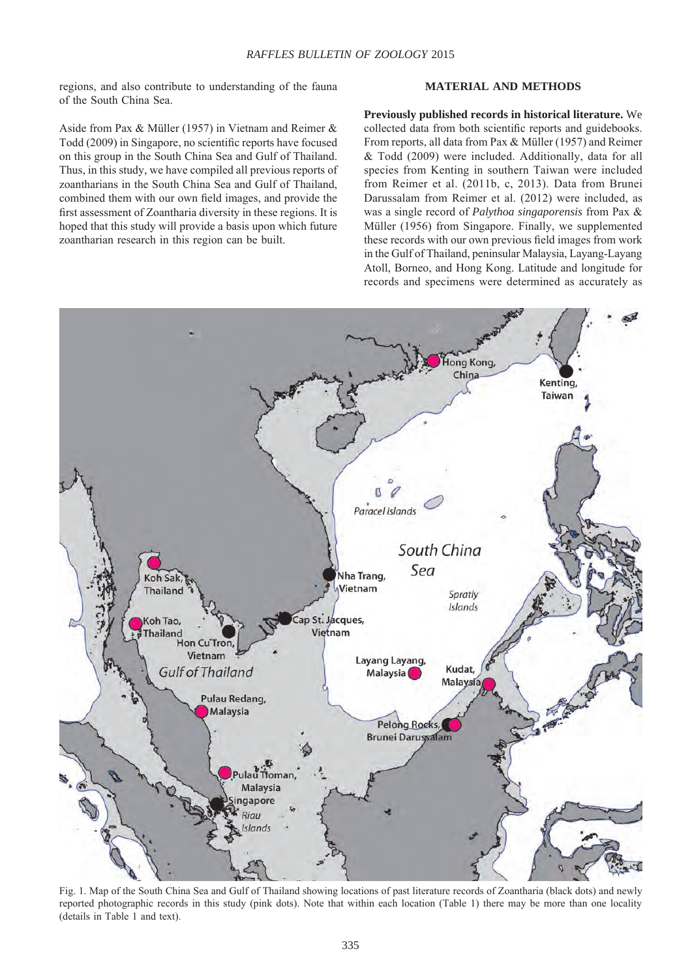regions, and also contribute to understanding of the fauna of the South China Sea.

# **MATERIAL AND METHODS**

Aside from Pax & Müller (1957) in Vietnam and Reimer & Todd (2009) in Singapore, no scientific reports have focused on this group in the South China Sea and Gulf of Thailand. Thus, in this study, we have compiled all previous reports of zoantharians in the South China Sea and Gulf of Thailand, combined them with our own field images, and provide the first assessment of Zoantharia diversity in these regions. It is hoped that this study will provide a basis upon which future zoantharian research in this region can be built.

**Previously published records in historical literature.** We collected data from both scientific reports and guidebooks. From reports, all data from Pax & Müller (1957) and Reimer & Todd (2009) were included. Additionally, data for all species from Kenting in southern Taiwan were included from Reimer et al. (2011b, c, 2013). Data from Brunei Darussalam from Reimer et al. (2012) were included, as was a single record of *Palythoa singaporensis* from Pax & Müller (1956) from Singapore. Finally, we supplemented these records with our own previous field images from work in the Gulf of Thailand, peninsular Malaysia, Layang-Layang Atoll, Borneo, and Hong Kong. Latitude and longitude for records and specimens were determined as accurately as



Fig. 1. Map of the South China Sea and Gulf of Thailand showing locations of past literature records of Zoantharia (black dots) and newly reported photographic records in this study (pink dots). Note that within each location (Table 1) there may be more than one locality (details in Table 1 and text).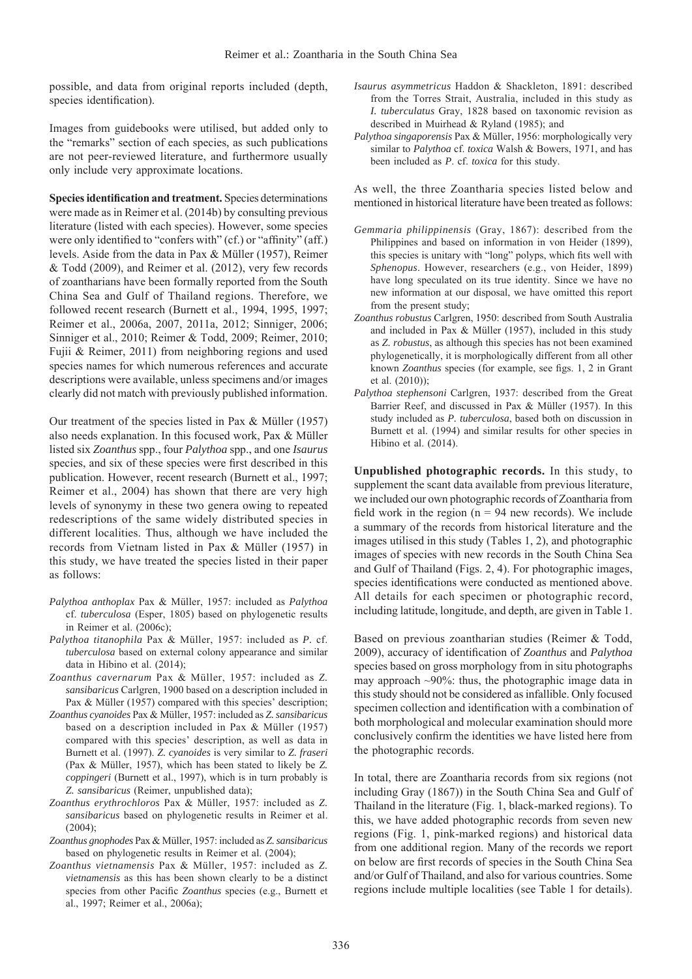possible, and data from original reports included (depth, species identification).

Images from guidebooks were utilised, but added only to the "remarks" section of each species, as such publications are not peer-reviewed literature, and furthermore usually only include very approximate locations.

**Species identification and treatment.** Species determinations were made as in Reimer et al. (2014b) by consulting previous literature (listed with each species). However, some species were only identified to "confers with" (cf.) or "affinity" (aff.) levels. Aside from the data in Pax & Müller (1957), Reimer & Todd (2009), and Reimer et al. (2012), very few records of zoantharians have been formally reported from the South China Sea and Gulf of Thailand regions. Therefore, we followed recent research (Burnett et al., 1994, 1995, 1997; Reimer et al., 2006a, 2007, 2011a, 2012; Sinniger, 2006; Sinniger et al., 2010; Reimer & Todd, 2009; Reimer, 2010; Fujii & Reimer, 2011) from neighboring regions and used species names for which numerous references and accurate descriptions were available, unless specimens and/or images clearly did not match with previously published information.

Our treatment of the species listed in Pax & Müller (1957) also needs explanation. In this focused work, Pax & Müller listed six *Zoanthus* spp., four *Palythoa* spp., and one *Isaurus*  species, and six of these species were first described in this publication. However, recent research (Burnett et al., 1997; Reimer et al., 2004) has shown that there are very high levels of synonymy in these two genera owing to repeated redescriptions of the same widely distributed species in different localities. Thus, although we have included the records from Vietnam listed in Pax & Müller (1957) in this study, we have treated the species listed in their paper as follows:

- *Palythoa anthoplax* Pax & Müller, 1957: included as *Palythoa* cf. *tuberculosa* (Esper, 1805) based on phylogenetic results in Reimer et al. (2006c);
- *Palythoa titanophila* Pax & Müller, 1957: included as *P.* cf. *tuberculosa* based on external colony appearance and similar data in Hibino et al. (2014);
- *Zoanthus cavernarum* Pax & Müller, 1957: included as *Z. sansibaricus* Carlgren, 1900 based on a description included in Pax & Müller (1957) compared with this species' description;
- *Zoanthus cyanoides* Pax & Müller, 1957: included as *Z. sansibaricus* based on a description included in Pax & Müller (1957) compared with this species' description, as well as data in Burnett et al. (1997). *Z. cyanoides* is very similar to *Z. fraseri* (Pax & Müller, 1957), which has been stated to likely be *Z. coppingeri* (Burnett et al., 1997), which is in turn probably is *Z. sansibaricus* (Reimer, unpublished data);
- *Zoanthus erythrochloros* Pax & Müller, 1957: included as *Z. sansibaricus* based on phylogenetic results in Reimer et al. (2004);
- *Zoanthus gnophodes* Pax & Müller, 1957: included as *Z. sansibaricus*  based on phylogenetic results in Reimer et al. (2004);
- *Zoanthus vietnamensis* Pax & Müller, 1957: included as *Z. vietnamensis* as this has been shown clearly to be a distinct species from other Pacific *Zoanthus* species (e.g., Burnett et al., 1997; Reimer et al., 2006a);
- *Isaurus asymmetricus* Haddon & Shackleton, 1891: described from the Torres Strait, Australia, included in this study as *I. tuberculatus* Gray, 1828 based on taxonomic revision as described in Muirhead & Ryland (1985); and
- *Palythoa singaporensis* Pax & Müller, 1956: morphologically very similar to *Palythoa* cf. *toxica* Walsh & Bowers, 1971, and has been included as *P*. cf. *toxica* for this study.

As well, the three Zoantharia species listed below and mentioned in historical literature have been treated as follows:

- *Gemmaria philippinensis* (Gray, 1867): described from the Philippines and based on information in von Heider (1899), this species is unitary with "long" polyps, which fits well with *Sphenopus*. However, researchers (e.g., von Heider, 1899) have long speculated on its true identity. Since we have no new information at our disposal, we have omitted this report from the present study;
- *Zoanthus robustus* Carlgren, 1950: described from South Australia and included in Pax & Müller (1957), included in this study as *Z*. *robustus*, as although this species has not been examined phylogenetically, it is morphologically different from all other known *Zoanthus* species (for example, see figs. 1, 2 in Grant et al. (2010));
- *Palythoa stephensoni* Carlgren, 1937: described from the Great Barrier Reef, and discussed in Pax & Müller (1957). In this study included as *P. tuberculosa*, based both on discussion in Burnett et al. (1994) and similar results for other species in Hibino et al. (2014).

**Unpublished photographic records.** In this study, to supplement the scant data available from previous literature, we included our own photographic records of Zoantharia from field work in the region ( $n = 94$  new records). We include a summary of the records from historical literature and the images utilised in this study (Tables 1, 2), and photographic images of species with new records in the South China Sea and Gulf of Thailand (Figs. 2, 4). For photographic images, species identifications were conducted as mentioned above. All details for each specimen or photographic record, including latitude, longitude, and depth, are given in Table 1.

Based on previous zoantharian studies (Reimer & Todd, 2009), accuracy of identification of *Zoanthus* and *Palythoa* species based on gross morphology from in situ photographs may approach ~90%: thus, the photographic image data in this study should not be considered as infallible. Only focused specimen collection and identification with a combination of both morphological and molecular examination should more conclusively confirm the identities we have listed here from the photographic records.

In total, there are Zoantharia records from six regions (not including Gray (1867)) in the South China Sea and Gulf of Thailand in the literature (Fig. 1, black-marked regions). To this, we have added photographic records from seven new regions (Fig. 1, pink-marked regions) and historical data from one additional region. Many of the records we report on below are first records of species in the South China Sea and/or Gulf of Thailand, and also for various countries. Some regions include multiple localities (see Table 1 for details).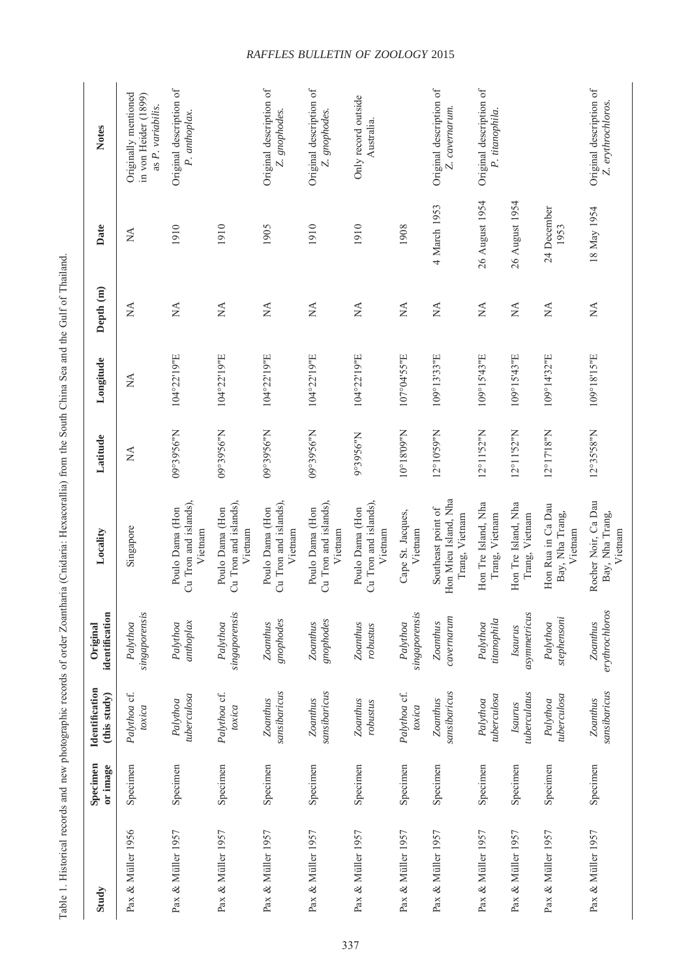| Study             | Specimen<br>or image | <b>I</b> dentification<br>(this study) | identification<br>Original   | Locality                                                     | Latitude                            | Longitude                 | Depth (m)                 | Date                | <b>Notes</b>                                                      |
|-------------------|----------------------|----------------------------------------|------------------------------|--------------------------------------------------------------|-------------------------------------|---------------------------|---------------------------|---------------------|-------------------------------------------------------------------|
| Pax & Müller 1956 | Specimen             | Palythoa cf.<br>toxica                 | singaporensis<br>Palythoa    | Singapore                                                    | $\mathbb{A}$                        | $\mathbb{X}^{\mathsf{A}}$ | $\mathbb{X}^{\mathsf{A}}$ | $\sum_{i=1}^{n}$    | Originally mentioned<br>in von Heider (1899)<br>as P. variabilis. |
| Pax & Müller 1957 | Specimen             | tuberculosa<br>Palythoa                | anthoplax<br>Palythoa        | Cu Tron and islands),<br>Poulo Dama (Hon<br>Vietnam          | N"959'56"N                          | 104°22'19"E               | $\lesssim$                | 1910                | Original description of<br>P. anthoplax.                          |
| Pax & Müller 1957 | Specimen             | Palythoa cf.<br>toxica                 | singaporensis<br>Palythoa    | Cu Tron and islands),<br>Poulo Dama (Hon<br>Vietnam          | N"9565660                           | 104°22'19"E               | $\mathbb{A}$              | 1910                |                                                                   |
| Pax & Müller 1957 | Specimen             | sansibaricus<br>Zoanthus               | gnophodes<br><b>Zoanthus</b> | Cu Tron and islands),<br>Poulo Dama (Hon<br>Vietnam          | N <sub>"9</sub> 56 <sub>66</sub> 60 | 104°22'19"E               | $\mathbb{X}$              | 1905                | Original description of<br>Z. gnophodes.                          |
| Pax & Müller 1957 | Specimen             | sansibaricus<br>Zoanthus               | gnophodes<br>Zoanthus        | Cu Tron and islands),<br>Poulo Dama (Hon<br>Vietnam          | N <sub>"</sub> 95,65.60             | 104°22'19"E               | $\sum_{i=1}^{n}$          | 1910                | Original description of<br>Z. gnophodes.                          |
| Pax & Müller 1957 | Specimen             | <b>Zoanthus</b><br>robustus            | <b>Zoanthus</b><br>robustus  | Cu Tron and islands),<br>Poulo Dama (Hon<br>Vietnam          | N <sub>"9</sub> 56566               | 104°22'19"E               | $\sum_{i=1}^{n}$          | 1910                | Only record outside<br>Australia.                                 |
| Pax & Müller 1957 | Specimen             | Palythoa cf.<br>toxica                 | singaporensis<br>Palythoa    | Cape St. Jacques,<br>Vietnam                                 | $N_{\rm n}$ 60.81°01                | 107°04'55"E               | $\sum_{i=1}^{n}$          | 1908                |                                                                   |
| Pax & Müller 1957 | Specimen             | sansibaricus<br>Zoanthus               | cavernarum<br>Zoanthus       | Hon Mieu Island, Nha<br>Southeast point of<br>Trang, Vietnam | 12°10'59"N                          | 109°13'33"E               | $\sum_{i=1}^{n}$          | 4 March 1953        | Original description of<br>Z. cavernarum.                         |
| Pax & Müller 1957 | Specimen             | tuberculosa<br>Palythoa                | titanophila<br>Palythoa      | Hon Tre Island, Nha<br>Trang, Vietnam                        | 12°11'52"N                          | 109°15'43"E               | $\mathbb{X}^{\mathsf{A}}$ | 26 August 1954      | Original description of<br>P. titanophila.                        |
| Pax & Müller 1957 | Specimen             | tuberculatus<br>Isaurus                | asymmetricus<br>Isaurus      | Hon Tre Island, Nha<br>Trang, Vietnam                        | $12^{\circ}11'52''N$                | 109°15'43"E               | $\mathbb{A}$              | 26 August 1954      |                                                                   |
| Pax & Müller 1957 | Specimen             | tuberculosa<br>Palythoa                | stephensoni<br>Palythoa      | Hon Rua in Ca Dau<br>Bay, Nha Trang,<br>Vietnam              | 12°17'18"N                          | 109°14'32"E               | $\mathbb{A}$              | 24 December<br>1953 |                                                                   |
| Pax & Müller 1957 | Specimen             | sansibaricus<br>Zoanthus               | erythrochloros<br>Zoanthus   | Rocher Noir, Ca Dau<br>Bay, Nha Trang,<br>Vietnam            | 12°35'58"N                          | 109°18'15"E               | $\sum_{i=1}^{n}$          | 18 May 1954         | Original description of<br>Z. erythrochloros.                     |

# Table 1. Historical records and new photographic records of order Zoantharia (Cnidaria: Hexacorallia) from the South China Sea and the Gulf of Thailand. Table 1. Historical records and new photographic records of order Zoantharia (Cnidaria: Hexacorallia) from the South China Sea and the Gulf of Thailand.

# *RAFFLES BULLETIN OF ZOOLOGY* 2015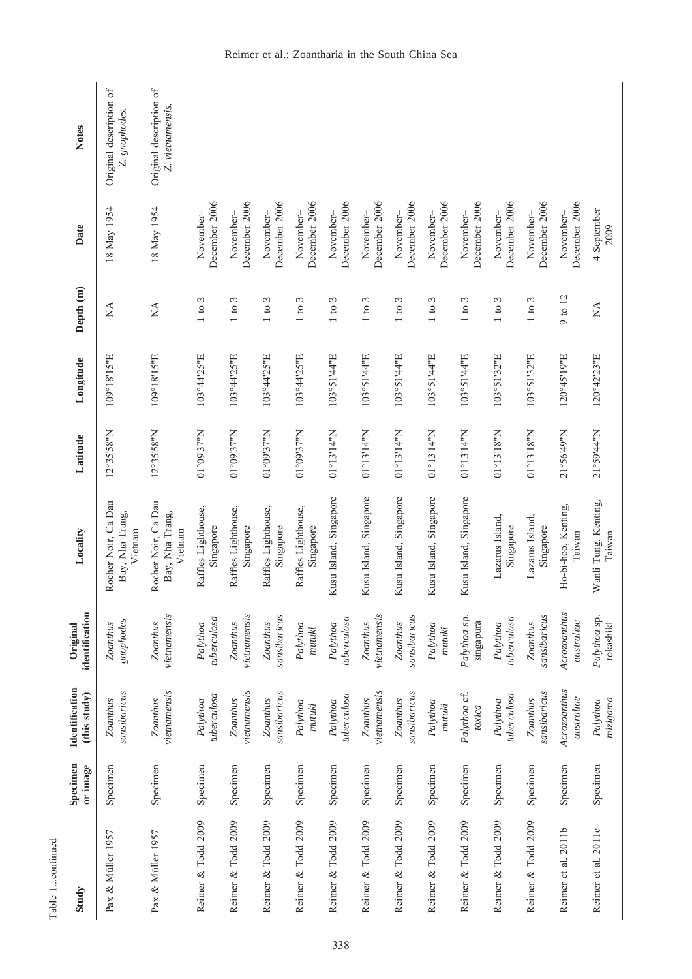| Table 1continued    |                      |                                        |                                 |                                                   |                          |             |                               |                            |                                             |
|---------------------|----------------------|----------------------------------------|---------------------------------|---------------------------------------------------|--------------------------|-------------|-------------------------------|----------------------------|---------------------------------------------|
| Study               | Specimen<br>or image | <b>I</b> dentification<br>(this study) | identification<br>Original      | Locality                                          | Latitude                 | Longitude   | Depth (m)                     | Date                       | <b>Notes</b>                                |
| Pax & Müller 1957   | Specimen             | sansibaricus<br>Zoanthus               | gnophodes<br>Zoanthus           | Rocher Noir, Ca Dau<br>Bay, Nha Trang,<br>Vietnam | 12°35'58"N               | 109°18'15"E | $\lessapprox$                 | 18 May 1954                | Original description of<br>Z. gnophodes.    |
| Pax & Müller 1957   | Specimen             | $v$ ietnamensis<br>Zoanthus            | vietnamensis<br>Zoanthus        | Rocher Noir, Ca Dau<br>Bay, Nha Trang,<br>Vietnam | 12°35'58"N               | 109°18'15"E | $\sum_{i=1}^{n}$              | 18 May 1954                | Original description of<br>Z. vietnamensis. |
| Reimer & Todd 2009  | Specimen             | tuberculosa<br>Palythoa                | tuberculosa<br>Palythoa         | Raffles Lighthouse,<br>Singapore                  | N"75'90°10               | 103°44'25"E | $1$ to $3$                    | December 2006<br>November- |                                             |
| Reimer & Todd 2009  | Specimen             | vietnamensis<br>Zoanthus               | vietnamensis<br><b>Zoanthus</b> | Raffles Lighthouse,<br>Singapore                  | NaL260 <sub>o</sub> 10   | 103°44'25"E | 3<br>$1 \text{ to } 1$        | December 2006<br>November- |                                             |
| Reimer & Todd 2009  | Specimen             | sansibaricus<br>Zoanthus               | sansibaricus<br>Zoanthus        | Raffles Lighthouse,<br>Singapore                  | Na.25.60 <sub>°10</sub>  | 103°44'25"E | $\epsilon$<br>1 to            | December 2006<br>November- |                                             |
| Reimer & Todd 2009  | Specimen             | Palythoa<br>mutuki                     | Palythoa<br>mutuki              | Raffles Lighthouse,<br>Singapore                  | Na.25.60 <sub>°</sub> 10 | 103°44'25"E | $\epsilon$<br>110             | December 2006<br>November- |                                             |
| Reimer & Todd 2009  | Specimen             | tuberculosa<br>Palythoa                | tuberculosa<br>Palythoa         | Kusu Island, Singapore                            | N"11'519"N               | 103°51'44"E | $\epsilon$<br>110             | December 2006<br>November- |                                             |
| Reimer & Todd 2009  | Specimen             | vietnamensis<br>Zoanthus               | vietnamensis<br>Zoanthus        | Kusu Island, Singapore                            | $N''$ $N''$ 13'14"N      | 103°51'44"E | $\epsilon$<br>$1 \text{ to }$ | December 2006<br>November- |                                             |
| Reimer & Todd 2009  | Specimen             | sansibaricus<br>Zoanthus               | sansibaricus<br>Zoanthus        | Kusu Island, Singapore                            | $N''$ $N''$ 13'14"N      | 103°51'44"E | $1$ to $3$                    | December 2006<br>November- |                                             |
| Reimer & Todd 2009  | Specimen             | Palythoa<br>mutuki                     | Palythoa<br>mutuki              | Kusu Island, Singapore                            | $N''$ $N''$ $14''$ $N$   | 103°51'44"E | 1 to 3                        | December 2006<br>November- |                                             |
| Reimer & Todd 2009  | Specimen             | Palythoa cf.<br>toxica                 | Palythoa sp.<br>singapura       | Kusu Island, Singapore                            | $N''$ 13'14"N            | 103°51'44"E | 1 to 3                        | December 2006<br>November- |                                             |
| Reimer & Todd 2009  | Specimen             | tuberculosa<br>Palythoa                | tuberculosa<br>Palythoa         | Lazarus Island,<br>Singapore                      | M''813'18''N             | 103°51'32"E | ξ<br>1 to                     | December 2006<br>November- |                                             |
| Reimer & Todd 2009  | Specimen             | sansibaricus<br>Zoanthus               | sansibaricus<br>Zoanthus        | Lazarus Island,<br>Singapore                      | N"81318"N                | 103°51'32"E | 3<br>110                      | December 2006<br>November- |                                             |
| Reimer et al. 2011b | Specimen             | Acrozoanthus<br>australiae             | Acrozoanthus<br>australiae      | Ho-bi-hoo, Kenting,<br>Taiwan                     | Z1°56'49"N               | 120°45'19"E | $9$ to $12$                   | December 2006<br>November- |                                             |
| Reimer et al. 2011c | Specimen             | mizigama<br>Palythoa                   | Palythoa sp.<br>tokashiki       | Wanli Tung, Kenting,<br>Taiwan                    | Z1°59'44"N               | 120°42'23"E | $\sum_{i=1}^{n}$              | 4 September<br>2009        |                                             |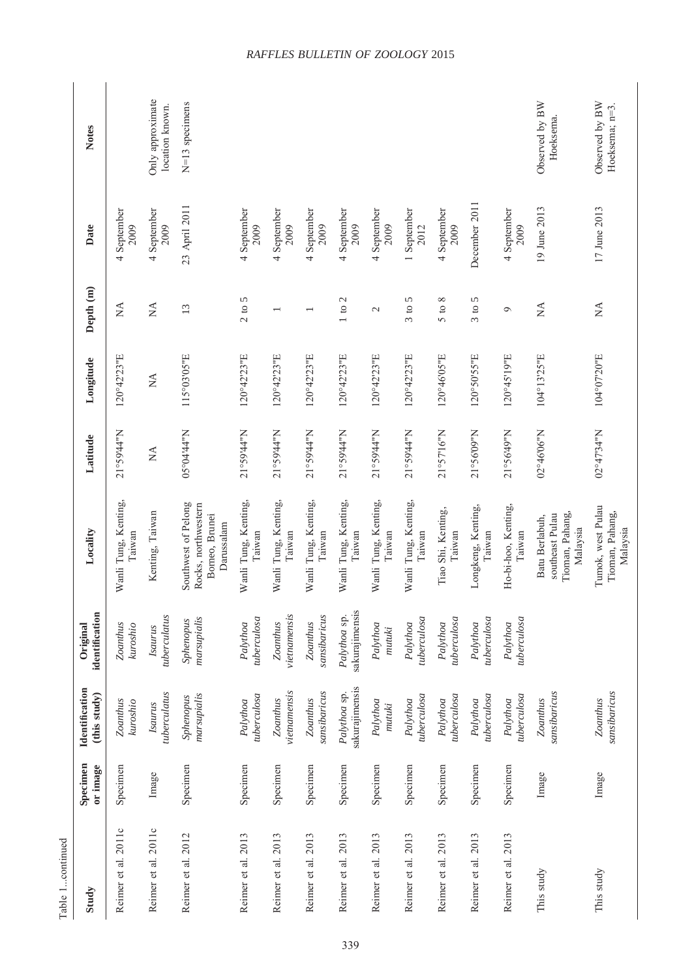| Table 1continued    |                      |                                        |                                |                                                                            |                         |                                                         |                  |                     |                                     |
|---------------------|----------------------|----------------------------------------|--------------------------------|----------------------------------------------------------------------------|-------------------------|---------------------------------------------------------|------------------|---------------------|-------------------------------------|
| Study               | Specimen<br>or image | <b>I</b> dentification<br>(this study) | identification<br>Original     | Locality                                                                   | Latitude                | Longitude                                               | Depth (m)        | Date                | <b>Notes</b>                        |
| Reimer et al. 2011c | Specimen             | <b>Zoanthus</b><br>kuroshio            | <b>Zoanthus</b><br>kuroshio    | Wanli Tung, Kenting,<br>Taiwan                                             | 21°59'44"N              | 120°42'23"E                                             | $\mathbb{X}$     | 4 September<br>2009 |                                     |
| Reimer et al. 2011c | Image                | tuberculatus<br><b>Isaurus</b>         | tuberculatus<br>Isaurus        | Kenting, Taiwan                                                            | $\mathbb{A}$            | $\stackrel{\displaystyle\triangle}{\scriptstyle\times}$ | $\lesssim$       | 4 September<br>2009 | Only approximate<br>location known. |
| Reimer et al. 2012  | Specimen             | marsupialis<br>Sphenopus               | marsupialis<br>Sphenopus       | Southwest of Pelong<br>Rocks, northwestern<br>Borneo, Brunei<br>Darussalam | N <sub>u</sub> t7,70°50 | 115°03'05"E                                             | 13               | 23 April 2011       | N=13 specimens                      |
| Reimer et al. 2013  | Specimen             | tuberculosa<br>Palythoa                | tuberculosa<br>Palythoa        | Wanli Tung, Kenting,<br>Taiwan                                             | 21°59'44"N              | 120°42'23"E                                             | $2$ to $5$       | 4 September<br>2009 |                                     |
| Reimer et al. 2013  | Specimen             | vietnamensis<br>Zoanthus               | vietnamensis<br>Zoanthus       | Wanli Tung, Kenting,<br>Taiwan                                             | 21°59'44"N              | 120°42'23"E                                             |                  | 4 September<br>2009 |                                     |
| Reimer et al. 2013  | Specimen             | sansibaricus<br>Zoanthus               | sansibaricus<br>Zoanthus       | Wanli Tung, Kenting,<br>Taiwan                                             | 21°59'44"N              | 120°42'23"E                                             |                  | 4 September<br>2009 |                                     |
| Reimer et al. 2013  | Specimen             | sakurajimensis<br>Palythoa sp.         | sakurajimensis<br>Palythoa sp. | Wanli Tung, Kenting,<br>Taiwan                                             | 21°59'44"N              | 120°42'23"E                                             | $1$ to $2$       | 4 September<br>2009 |                                     |
| Reimer et al. 2013  | Specimen             | Palythoa<br>mutuki                     | Palythoa<br>mutuki             | Wanli Tung, Kenting,<br>Taiwan                                             | 21°59'44"N              | 120°42'23"E                                             | $\mathcal{L}$    | 4 September<br>2009 |                                     |
| Reimer et al. 2013  | Specimen             | tuberculosa<br>Palythoa                | tuberculosa<br>Palythoa        | Wanli Tung, Kenting,<br>Taiwan                                             | 21°59'44"N              | 120°42'23"E                                             | $3$ to $5$       | 1 September<br>2012 |                                     |
| Reimer et al. 2013  | Specimen             | tuberculosa<br>Palythoa                | tuberculosa<br>Palythoa        | Tiao Shi, Kenting,<br>Taiwan                                               | 21°57'16"N              | 120°46'05"E                                             | 5 to 8           | 4 September<br>2009 |                                     |
| Reimer et al. 2013  | Specimen             | tuberculosa<br>Palythoa                | tuberculosa<br>Palythoa        | Longkeng, Kenting,<br>Taiwan                                               | Z1°56'09"N              | 120°50'55"E                                             | $3$ to $5$       | December 2011       |                                     |
| Reimer et al. 2013  | Specimen             | tuberculosa<br>Palythoa                | tuberculosa<br>Palythoa        | Ho-bi-hoo, Kenting,<br>Taiwan                                              | 21°56'49"N              | 120°45'19"E                                             | $\circ$          | 4 September<br>2009 |                                     |
| This study          | Image                | sansibaricus<br>Zoanthus               |                                | Tioman, Pahang,<br>southeast Pulau<br>Batu Berlabuh,<br>Malaysia           | 02°46'06"N              | 104°13'25"E                                             | $\sum_{i=1}^{n}$ | 19 June 2013        | Observed by BW<br>Hoeksema.         |
| This study          | Image                | sansibaricus<br>Zoanthus               |                                | Tumok, west Pulau<br>Tioman, Pahang,<br>Malaysia                           | $02^{\circ}47'34''N$    | 104°07'20"E                                             | $\sum_{i=1}^{n}$ | 17 June 2013        | Observed by BW<br>Hoeksema; n=3.    |

# *RAFFLES BULLETIN OF ZOOLOGY* 2015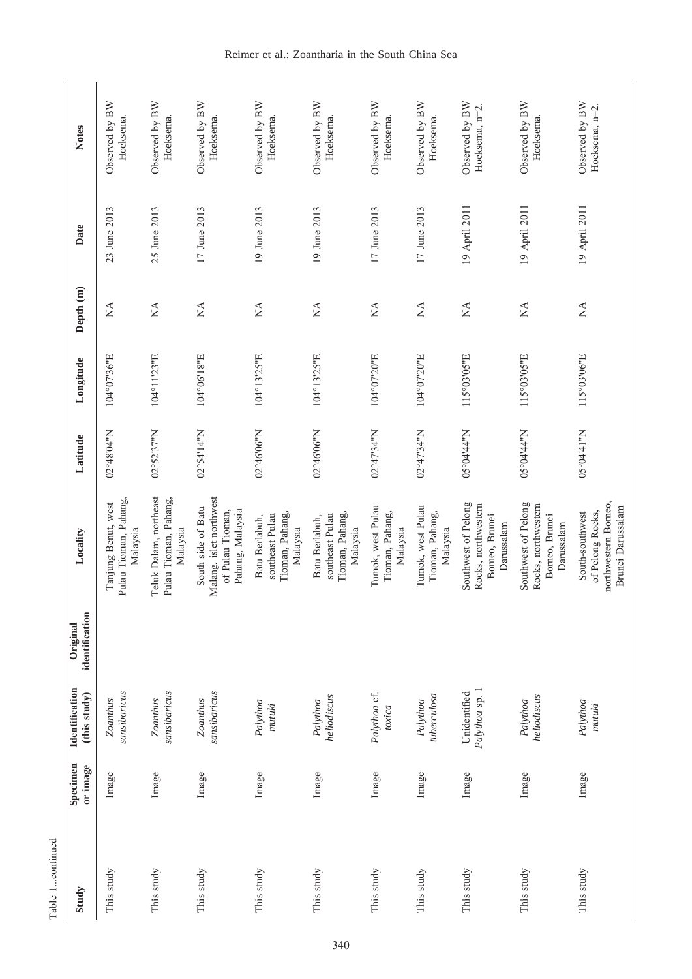| Table 1continued |                      |                                       |                            |                                                                                       |                                      |             |                              |               |                                  |
|------------------|----------------------|---------------------------------------|----------------------------|---------------------------------------------------------------------------------------|--------------------------------------|-------------|------------------------------|---------------|----------------------------------|
| Study            | Specimen<br>or image | <b>Identification</b><br>(this study) | identification<br>Original | Locality                                                                              | Latitude                             | Longitude   | Depth (m)                    | Date          | <b>Notes</b>                     |
| This study       | Image                | sansibaricus<br>Zoanthus              |                            | Pulau Tioman, Pahang,<br>Tanjung Benut, west<br>Malaysia                              | N"10'81°20                           | 104°07'36"E | $\lessapprox$                | 23 June 2013  | Observed by BW<br>Hoeksema.      |
| This study       | Image                | sansibaricus<br>Zoanthus              |                            | Teluk Dalam, northeast<br>Pulau Tioman, Pahang,<br>Malaysia                           | 02°52'37"N                           | 104°11'23"E | $\lesssim$                   | 25 June 2013  | Observed by BW<br>Hoeksema.      |
| This study       | Image                | sansibaricus<br>Zoanthus              |                            | Malang, islet northwest<br>South side of Batu<br>Pahang, Malaysia<br>of Pulau Tioman, | $02^{\circ}54'14''$ N                | 104°06'18"E | $\sum_{i=1}^{n}$             | 17 June 2013  | Observed by BW<br>Hoeksema.      |
| This study       | Image                | Palythoa<br>mutuki                    |                            | Tioman, Pahang,<br>southeast Pulau<br>Batu Berlabuh,<br>Malaysia                      | $02^{\circ}46'06''$ N                | 104°13'25"E | $\lesssim$                   | 19 June 2013  | Observed by BW<br>Hoeksema.      |
| This study       | Image                | heliodiscus<br>Palythoa               |                            | Tioman, Pahang,<br>southeast Pulau<br>Batu Berlabuh,<br>Malaysia                      | 02°46'06"N                           | 104°13'25"E | $\sum_{i=1}^{n}$             | 19 June 2013  | Observed by BW<br>Hoeksema.      |
| This study       | Image                | Palythoa cf.<br>toxica                |                            | Tumok, west Pulau<br>Tioman, Pahang,<br>Malaysia                                      | N"15'794"N                           | 104°07'20"E | $\sum_{i=1}^{n}$             | 17 June 2013  | Observed by BW<br>Hoeksema.      |
| This study       | Image                | tuberculosa<br>Palythoa               |                            | Tumok, west Pulau<br>Tioman, Pahang,<br>Malaysia                                      | 02°47'34"N                           | 104°07'20"E | $\sum_{i=1}^{n}$             | 17 June 2013  | Observed by BW<br>Hoeksema.      |
| This study       | Image                | Palythoa sp. 1<br>Unidentified        |                            | Southwest of Pelong<br>Rocks, northwestern<br>Borneo, Brunei<br>Darussalam            | N <sub>"</sub> bp <sub>1</sub> b0°50 | 115°03'05"E | $\lessapprox$                | 19 April 2011 | Observed by BW<br>Hoeksema, n=2. |
| This study       | Image                | heliodiscus<br>Palythoa               |                            | Southwest of Pelong<br>Rocks, northwestern<br>Borneo, Brunei<br>Darussalam            | N <sub>"</sub> ++'+0°50              | 115°03'05"E | $\lesssim$                   | 19 April 2011 | Observed by BW<br>Hoeksema.      |
| This study       | Image                | Palythoa<br>mutuki                    |                            | northwestern Borneo,<br>Brunei Darussalam<br>of Pelong Rocks,<br>South-southwest      | N <sub>u</sub> 1t <sub>1</sub> t0.50 | 115°03'06"E | $\stackrel{\triangle}{\geq}$ | 19 April 2011 | Observed by BW<br>Hoeksema, n=2. |

# Reimer et al.: Zoantharia in the South China Sea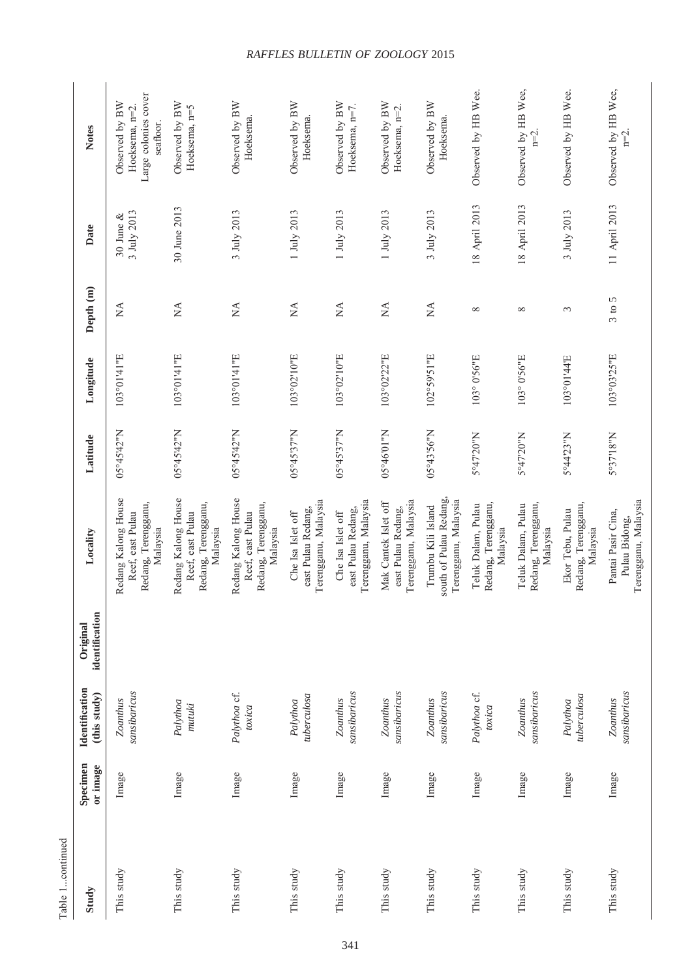| Table 1continued |                      |                                        |                            |                                                                            |                                      |             |                                |                             |                                                                      |
|------------------|----------------------|----------------------------------------|----------------------------|----------------------------------------------------------------------------|--------------------------------------|-------------|--------------------------------|-----------------------------|----------------------------------------------------------------------|
| Study            | Specimen<br>or image | <b>I</b> dentification<br>(this study) | identification<br>Original | Locality                                                                   | Latitude                             | Longitude   | Depth (m)                      | Date                        | <b>Notes</b>                                                         |
| This study       | Image                | sansibaricus<br><b>Zoanthus</b>        |                            | Redang Kalong House<br>Redang, Terengganu,<br>Reef, east Pulau<br>Malaysia | $05^{\circ}45'42''$ N                | 103°01'41"E | $\mathbb{A}$                   | 3 July 2013<br>30 June $\&$ | Large colonies cover<br>Observed by BW<br>Hoeksema, n=2<br>seafloor. |
| This study       | Image                | Palythoa<br>mutuki                     |                            | Redang Kalong House<br>Redang, Terengganu,<br>Reef, east Pulau<br>Malaysia | 05°45'42"N                           | 103°01'41"E | $\mathbb{A}$                   | 30 June 2013                | Observed by BW<br>Hoeksema, n=5                                      |
| This study       | Image                | Palythoa cf.<br>toxica                 |                            | Redang Kalong House<br>Redang, Terengganu,<br>Reef, east Pulau<br>Malaysia | 05°45'42"N                           | 103°01'41"E | $\mathbb{A}$                   | 3 July 2013                 | Observed by BW<br>Hoeksema.                                          |
| This study       | Image                | tuberculosa<br>Palythoa                |                            | Terengganu, Malaysia<br>east Pulau Redang,<br>Che Isa Islet off            | 05°45'37"N                           | 103°02'10"E | $\mathbb{X}$                   | 1 July 2013                 | Observed by BW<br>Hoeksema.                                          |
| This study       | Image                | sansibaricus<br>Zoanthus               |                            | Terengganu, Malaysia<br>east Pulau Redang,<br>Che Isa Islet off            | 05°45'37"N                           | 103°02'10"E | $\lesssim$                     | 1 July 2013                 | Observed by BW<br>Hoeksema, n=7.                                     |
| This study       | Image                | sansibaricus<br><b>Zoanthus</b>        |                            | Terengganu, Malaysia<br>Mak Cantek Islet off<br>east Pulau Redang,         | N <sub>"10,9</sub> +°50              | 103°02'22"E | $\mathbb{X}$                   | 1 July 2013                 | Observed by BW<br>Hoeksema, n=2.                                     |
| This study       | Image                | sansibaricus<br>Zoanthus               |                            | south of Pulau Redang,<br>Terengganu, Malaysia<br>Trumbu Kili Island       | N <sub>11</sub> 95,27 <sub>°50</sub> | 102°59'51"E | $\stackrel{\triangle}{\simeq}$ | 3 July 2013                 | Observed by BW<br>Hoeksema.                                          |
| This study       | Image                | Palythoa cf.<br>toxica                 |                            | Redang, Terengganu,<br>Teluk Dalam, Pulau<br>Malaysia                      | S°47'20"N                            | 103° 0'56"E | $\infty$                       | 18 April 2013               | Observed by HB Wee.                                                  |
| This study       | Image                | sansibaricus<br>Zoanthus               |                            | Redang, Terengganu,<br>Teluk Dalam, Pulau<br>Malaysia                      | 5°47'20"N                            | 103° 0'56"E | $\infty$                       | 18 April 2013               | Observed by HB Wee,<br>$n=2$ .                                       |
| This study       | Image                | tuberculosa<br>Palythoa                |                            | Redang, Terengganu,<br>Ekor Tebu, Pulau<br>Malaysia                        | 5°44'23"N                            | 103°01'44'E | 3                              | 3 July 2013                 | Observed by HB Wee.                                                  |
| This study       | Image                | sansibaricus<br>Zoanthus               |                            | Terengganu, Malaysia<br>Pantai Pasir Cina,<br>Pulau Bidong,                | S°37'18"N                            | 103°03'25"E | $3$ to $5$                     | 11 April 2013               | Observed by HB Wee,<br>$n=2$ .                                       |

# *RAFFLES BULLETIN OF ZOOLOGY* 2015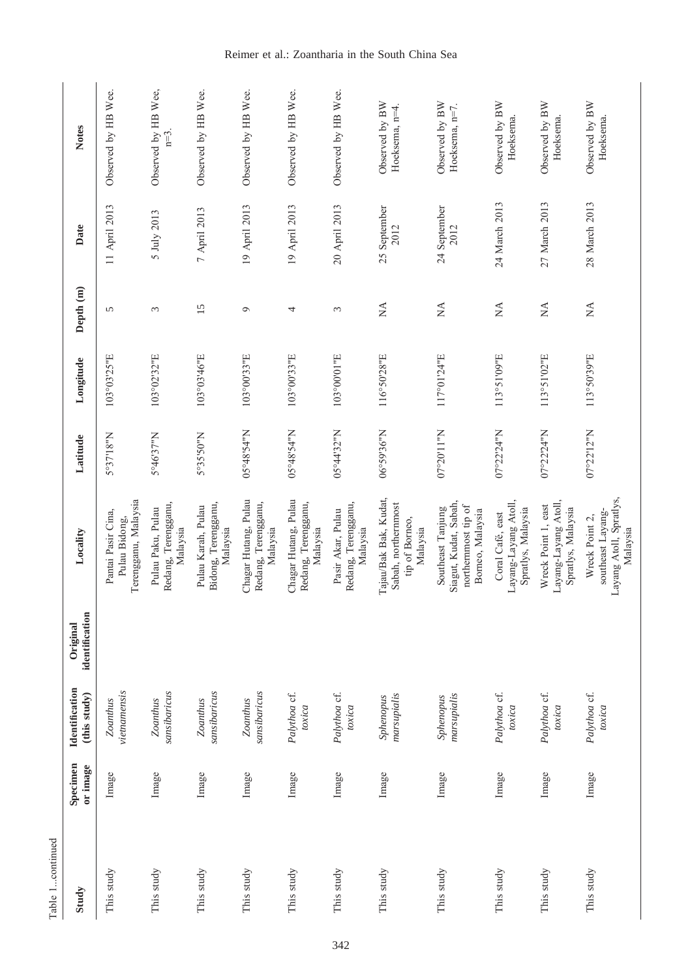| Table 1continued |                      |                                        |                            |                                                                                       |                            |             |                |                      |                                  |
|------------------|----------------------|----------------------------------------|----------------------------|---------------------------------------------------------------------------------------|----------------------------|-------------|----------------|----------------------|----------------------------------|
| Study            | Specimen<br>or image | <b>I</b> dentification<br>(this study) | identification<br>Original | Locality                                                                              | Latitude                   | Longitude   | Depth (m)      | Date                 | <b>Notes</b>                     |
| This study       | Image                | vietnamensis<br>Zoanthus               |                            | Terengganu, Malaysia<br>Pantai Pasir Cina,<br>Pulau Bidong,                           | <b>N<sub>"81</sub></b> .25 | 103°03'25"E | $\overline{5}$ | 11 April 2013        | Observed by HB Wee.              |
| This study       | Image                | sansibaricus<br>Zoanthus               |                            | Redang, Terengganu,<br>Pulau Paku, Pulau<br>Malaysia                                  | S°46'37"N                  | 103°02'32"E | 3              | 5 July 2013          | Observed by HB Wee,<br>$n=3$ .   |
| This study       | Image                | sansibaricus<br><b>Zoanthus</b>        |                            | Bidong, Terengganu,<br>Pulau Karah, Pulau<br>Malaysia                                 | S°35'50"N                  | 103°03'46"E | 15             | 7 April 2013         | Observed by HB Wee.              |
| This study       | Image                | sansibaricus<br>Zoanthus               |                            | Chagar Hutang, Pulau<br>Redang, Terengganu,<br>Malaysia                               | N.175,87 <sub>°50</sub>    | 103°00'33"E | $\sigma$       | 19 April 2013        | Observed by HB Wee.              |
| This study       | Image                | Palythoa cf.<br>toxica                 |                            | Chagar Hutang, Pulau<br>Redang, Terengganu,<br>Malaysia                               | N.rS.8t <sub>o</sub> S0    | 103°00'33"E | 4              | 19 April 2013        | Observed by HB Wee.              |
| This study       | Image                | Palythoa cf.<br>toxica                 |                            | Redang, Terengganu,<br>Pasir Akar, Pulau<br>Malaysia                                  | 05°44'32"N                 | 103°00'01"E | 3              | 20 April 2013        | Observed by HB Wee.              |
| This study       | Image                | marsupialis<br>Sphenopus               |                            | Tajau/Bak Bak, Kudat,<br>Sabah, northernmost<br>tip of Borneo,<br>Malaysia            | N <sub>19</sub> 56590      | 116°50'28"E | $\mathbb{X}$   | 25 September<br>2012 | Observed by BW<br>Hoeksema, n=4. |
| This study       | Image                | marsupialis<br>Sphenopus               |                            | Siagut, Kudat, Sabah,<br>northernmost tip of<br>Southeast Tanjung<br>Borneo, Malaysia | 07°20'11"N                 | 117°01'24"E | $\sum$         | 24 September<br>2012 | Observed by BW<br>Hoeksema, n=7. |
| This study       | Image                | Palythoa cf.<br>toxica                 |                            | Layang-Layang Atoll,<br>Spratlys, Malaysia<br>Coral Café, east                        | 07°22'24"N                 | 113°51'09"E | $\lessapprox$  | 24 March 2013        | Observed by BW<br>Hoeksema.      |
| This study       | Image                | Palythoa cf.<br>toxica                 |                            | Layang-Layang Atoll,<br>Wreck Point 1, east<br>Spratlys, Malaysia                     | 07°22'24"N                 | 113°51'02"E | $\lesssim$     | 27 March 2013        | Observed by BW<br>Hoeksema.      |
| This study       | Image                | Palythoa cf.<br>toxica                 |                            | Layang Atoll, Spratlys,<br>southeast Layang-<br>Wreck Point 2,<br>Malaysia            | 07°22'12"N                 | 113°50'39"E | $\lesssim$     | 28 March 2013        | Observed by BW<br>Hoeksema.      |

# Reimer et al.: Zoantharia in the South China Sea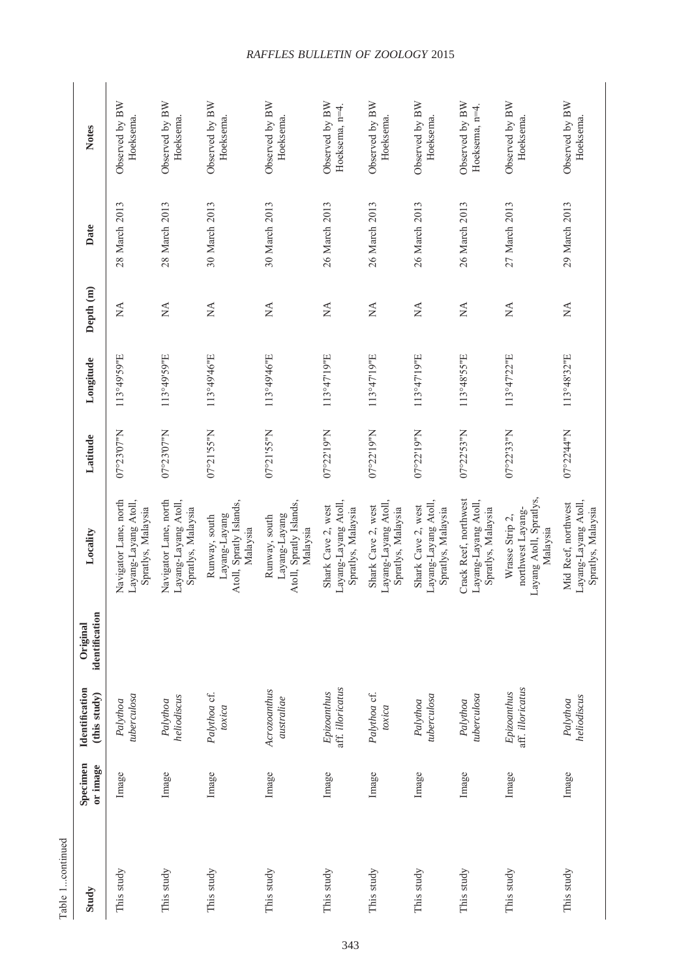| Table 1continued |                      |                                        |                            |                                                                             |            |             |                                |               |                                  |
|------------------|----------------------|----------------------------------------|----------------------------|-----------------------------------------------------------------------------|------------|-------------|--------------------------------|---------------|----------------------------------|
| Study            | Specimen<br>or image | <b>I</b> dentification<br>(this study) | identification<br>Original | Locality                                                                    | Latitude   | Longitude   | Depth (m)                      | Date          | <b>Notes</b>                     |
| This study       | Image                | tuberculosa<br>Palythoa                |                            | Navigator Lane, north<br>Layang-Layang Atoll,<br>Spratlys, Malaysia         | 07°23'07"N | 113°49'59"E | $\stackrel{\triangle}{\simeq}$ | 28 March 2013 | Observed by BW<br>Hoeksema.      |
| This study       | Image                | heliodiscus<br>Palythoa                |                            | Navigator Lane, north<br>Layang-Layang Atoll,<br>Spratlys, Malaysia         | 07°23'07"N | 113°49'59"E | $\mathbb{X}$                   | 28 March 2013 | Observed by BW<br>Hoeksema.      |
| This study       | Image                | Palythoa cf.<br>toxica                 |                            | Atoll, Spratly Islands,<br>Layang-Layang<br>Runway, south<br>Malaysia       | 07°21'55"N | 113°49'46"E | $\mathbb{X}$                   | 30 March 2013 | Observed by BW<br>Hoeksema.      |
| This study       | Image                | Acrozoanthus<br>australiae             |                            | Atoll, Spratly Islands,<br>Layang-Layang<br>Runway, south<br>Malaysia       | 07°21'55"N | 113°49'46"E | $\mathbb{X}$                   | 30 March 2013 | Observed by BW<br>Hoeksema.      |
| This study       | Image                | aff. illoricatus<br>Epizoanthus        |                            | Layang-Layang Atoll,<br>Shark Cave 2, west<br>Spratlys, Malaysia            | 07°22'19"N | 113°47'19"E | $\mathbb{A}$                   | 26 March 2013 | Observed by BW<br>Hoeksema, n=4. |
| This study       | Image                | Palythoa cf.<br>toxica                 |                            | Layang-Layang Atoll,<br>Shark Cave 2, west<br>Spratlys, Malaysia            | 07°22'19"N | 113°47'19"E | $\stackrel{\triangle}{\simeq}$ | 26 March 2013 | Observed by BW<br>Hoeksema.      |
| This study       | Image                | tuberculosa<br>Palythoa                |                            | Layang-Layang Atoll,<br>Shark Cave 2, west<br>Spratlys, Malaysia            | 07°22'19"N | 113°47'19"E | $\stackrel{\triangle}{\simeq}$ | 26 March 2013 | Observed by BW<br>Hoeksema.      |
| This study       | Image                | tuberculosa<br>Palythoa                |                            | Crack Reef, northwest<br>Layang-Layang Atoll,<br>Spratlys, Malaysia         | 07°22'53"N | 113°48'55"E | $\sum_{i=1}^{n}$               | 26 March 2013 | Observed by BW<br>Hoeksema, n=4. |
| This study       | Image                | aff. illoricatus<br>Epizoanthus        |                            | Layang Atoll, Spratlys,<br>northwest Layang-<br>Wrasse Strip 2,<br>Malaysia | 07°22'33"N | 113°47'22"E | $\sum_{i=1}^{n}$               | 27 March 2013 | Observed by BW<br>Hoeksema.      |
| This study       | Image                | heliodiscus<br>Palythoa                |                            | Layang-Layang Atoll,<br>Mid Reef, northwest<br>Spratlys, Malaysia           | 07°22'44"N | 113°48'32"E | $\sum_{i=1}^{n}$               | 29 March 2013 | Observed by BW<br>Hoeksema.      |

# *RAFFLES BULLETIN OF ZOOLOGY* 2015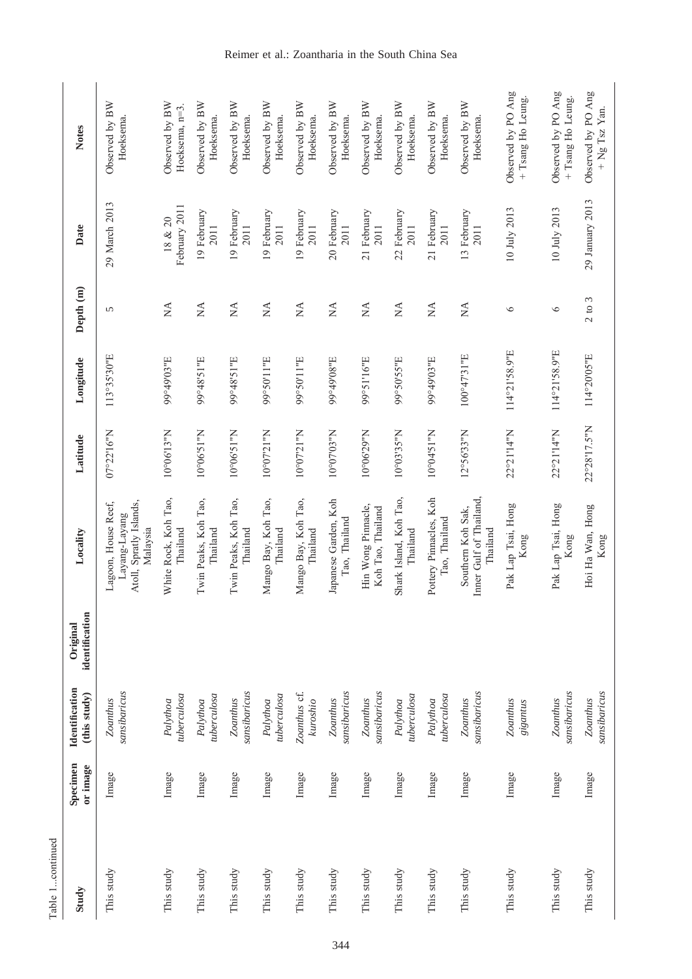| Study      | Specimen<br>or image | <b>I</b> dentification<br>(this study) | identification<br>Original | Locality                                                                    | Latitude                       | Longitude     | Depth (m)                  | Date                     | <b>Notes</b>                            |
|------------|----------------------|----------------------------------------|----------------------------|-----------------------------------------------------------------------------|--------------------------------|---------------|----------------------------|--------------------------|-----------------------------------------|
| This study | Image                | sansibaricus<br>Zoanthus               |                            | Atoll, Spratly Islands,<br>Lagoon, House Reef,<br>Layang-Layang<br>Malaysia | 07°22'16"N                     | 113°35'30"E   | 5                          | 29 March 2013            | Observed by BW<br>Hoeksema.             |
| This study | Image                | tuberculosa<br>Palythoa                |                            | White Rock, Koh Tao,<br>Thailand                                            | 10°06'13"N                     | 99°49'03"E    | $\mathbb{X}^{\mathsf{A}}$  | February 2011<br>18 & 20 | Observed by BW<br>Hoeksema, n=3         |
| This study | Image                | tuberculosa<br>Palythoa                |                            | Twin Peaks, Koh Tao,<br>Thailand                                            | $N_{\rm h}$ I $5.90\text{e}$ 0 | 99°48'51"E    | $\lesssim$                 | 19 February<br>2011      | Observed by BW<br>Hoeksema.             |
| This study | Image                | sansibaricus<br>Zoanthus               |                            | Twin Peaks, Koh Tao,<br>Thailand                                            | $N_{\rm h}$ 1990 $_{\rm 00}$ 1 | 99°48'51"E    | $\mathbb{X}^{\mathsf{A}}$  | 19 February<br>2011      | Observed by BW<br>Hoeksema.             |
| This study | Image                | tuberculosa<br>Palythoa                |                            | Mango Bay, Koh Tao,<br>Thailand                                             | 10°07'21"N                     | 99°50'11"E    | $\mathbb{X}$               | 19 February<br>2011      | Observed by BW<br>Hoeksema.             |
| This study | Image                | Zoanthus cf.<br>kuroshio               |                            | Mango Bay, Koh Tao,<br>Thailand                                             | 10°07'21"N                     | 99°50'11"E    | $\mathbb{X}^{\mathcal{A}}$ | 19 February<br>2011      | Observed by BW<br>Hoeksema.             |
| This study | Image                | sansibaricus<br>Zoanthus               |                            | Japanese Garden, Koh<br>Tao, Thailand                                       | I0°07'03"N                     | 99°49'08"E    | $\mathbb{X}$               | 20 February<br>2011      | Observed by BW<br>Hoeksema.             |
| This study | Image                | sansibaricus<br>Zoanthus               |                            | Hin Wong Pinnacle,<br>Koh Tao, Thailand                                     | 10°06'29"N                     | 99°51'16"E    | $\mathbb{X}$               | 21 February<br>2011      | Observed by BW<br>Hoeksema.             |
| This study | Image                | tuberculosa<br>Palythoa                |                            | Shark Island, Koh Tao,<br>Thailand                                          | $10^{\circ}03'35''N$           | 99°50'55"E    | $\mathbb{A}$               | 22 February<br>2011      | Observed by BW<br>Hoeksema.             |
| This study | Image                | tuberculosa<br>Palythoa                |                            | Pottery Pinnacles, Koh<br>Tao, Thailand                                     | $N_{\rm h}$ 15'4'51"N          | 99°49'03"E    | $\mathbb{X}$               | 21 February<br>2011      | Observed by BW<br>Hoeksema.             |
| This study | Image                | sansibaricus<br>Zoanthus               |                            | Inner Gulf of Thailand,<br>Southern Koh Sak,<br>Thailand                    | 12°56'33"N                     | 100°47'31"E   | $\lessapprox$              | 13 February<br>2011      | Observed by BW<br>Hoeksema.             |
| This study | Image                | Zoanthus<br>gigantus                   |                            | Pak Lap Tsai, Hong<br>Kong                                                  | 22°21'14"N                     | 114°21'58.9"E | $\circ$                    | 10 July 2013             | Observed by PO Ang<br>+ Tsang Ho Leung. |
| This study | Image                | sansibaricus<br>Zoanthus               |                            | Pak Lap Tsai, Hong<br>Kong                                                  | 22°21'14"N                     | 114°21'58.9"E | $\circ$                    | 10 July 2013             | Observed by PO Ang<br>+ Tsang Ho Leung. |
| This study | Image                | sansibaricus<br>Zoanthus               |                            | Hoi Ha Wan, Hong<br>Kong                                                    | 22°28'17.5"N                   | 114°20'05"E   | $2$ to $3$                 | 29 January 2013          | Observed by PO Ang<br>+ Ng Tsz Yan.     |

# Reimer et al.: Zoantharia in the South China Sea

Table 1...continued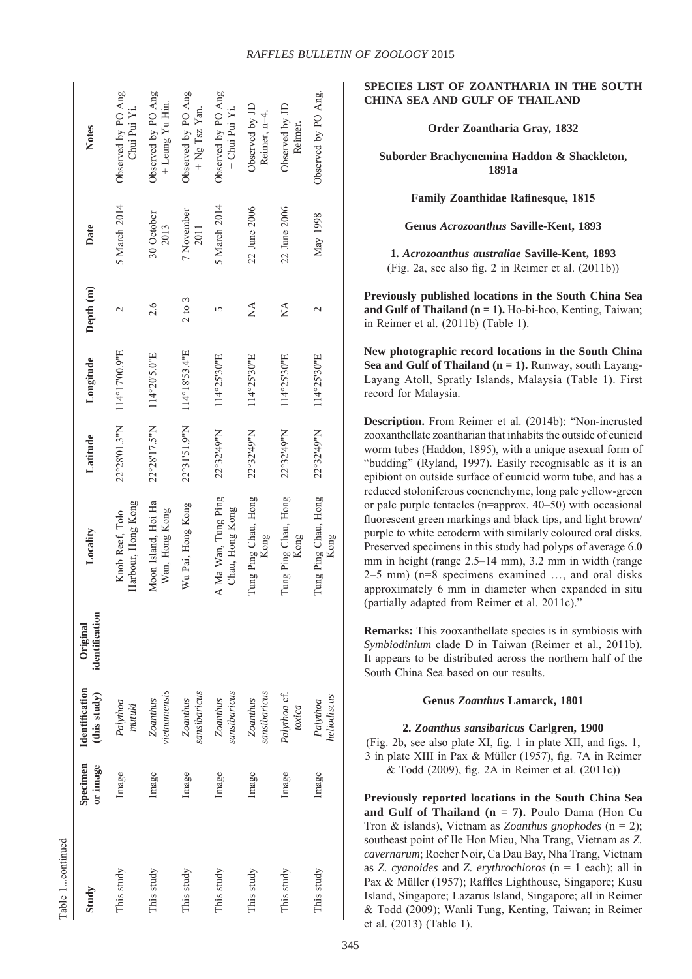| Table 1continued |                      |                                |                            |                                        |              |               |                   |                    |                                       |
|------------------|----------------------|--------------------------------|----------------------------|----------------------------------------|--------------|---------------|-------------------|--------------------|---------------------------------------|
| Study            | Specimen<br>or image | Identification<br>(this study) | identification<br>Original | Locality                               | Latitude     | Longitude     | Depth (m)         | Date               | <b>Notes</b>                          |
| This study       | Image                | Palythoa<br>mutuki             |                            | Harbour, Hong Kong<br>Knob Reef, Tolo  | 22°28'01.3"N | 114°17'00.9"E | $\mathcal{C}$     | 5 March 2014       | Observed by PO Ang<br>+ Chui Pui Yi.  |
| This study       | Image                | vietnamensis<br>Zoanthus       |                            | Moon Island, Hoi Ha<br>Wan, Hong Kong  | 22°28'17.5"N | 114°20'5.0"E  | 2.6               | 30 October<br>2013 | Observed by PO Ang<br>+ Leung Yu Hin. |
| This study       | Image                | sansibaricus<br>Zoanthus       |                            | Wu Pai, Hong Kong                      | 22°31'51.9"N | 114°18'53.4"E | $2 \text{ to } 3$ | 7 November<br>2011 | Observed by PO Ang<br>$+$ Ng Tsz Yan. |
| This study       | Image                | sansibaricus<br>Zoanthus       |                            | A Ma Wan, Tung Ping<br>Chau, Hong Kong | 22°32'49"N   | 114°25'30"E   | 5                 | 5 March 2014       | Observed by PO Ang<br>+ Chui Pui Yi.  |
| This study       | Image                | sansibaricus<br>Zoanthus       |                            | Tung Ping Chau, Hong<br>Kong           | 22°32'49"N   | 114°25'30"E   | $\mathbb{\AA}$    | 22 June 2006       | Observed by JD<br>Reimer, n=4.        |
| This study       | Image                | Palythoa cf.<br>toxica         |                            | Tung Ping Chau, Hong<br>Kong           | 22°32'49"N   | 114°25'30"E   | $\mathbb{A}$      | 22 June 2006       | Observed by JD<br>Reimer.             |
| This study       | Image                | heliodiscus<br>Palythoa        |                            | Tung Ping Chau, Hong<br>Kong           | 22°32'49"N   | 114°25'30"E   | $\mathcal{C}$     | May 1998           | Observed by PO Ang.                   |

# **SPECIES LIST OF ZOANTHARIA IN THE SOUTH CHINA SEA AND GULF OF THAILAND**

**Order Zoantharia Gray, 1832**

**Suborder Brachycnemina Haddon & Shackleton, 1891a**

**Family Zoanthidae Rafinesque, 1815**

**Genus** *Acrozoanthus* **Saville-Kent, 1893**

**1.** *Acrozoanthus australiae* **Saville-Kent, 1893** (Fig. 2a, see also fig. 2 in Reimer et al. (2011b))

**Previously published locations in the South China Sea and Gulf of Thailand (n = 1).** Ho-bi-hoo, Kenting, Taiwan; in Reimer et al. (2011b) (Table 1).

**New photographic record locations in the South China Sea and Gulf of Thailand (n = 1).** Runway, south Layang-Layang Atoll, Spratly Islands, Malaysia (Table 1). First record for Malaysia.

**Description.** From Reimer et al. (2014b): "Non-incrusted zooxanthellate zoantharian that inhabits the outside of eunicid worm tubes (Haddon, 1895), with a unique asexual form of "budding" (Ryland, 1997). Easily recognisable as it is an epibiont on outside surface of eunicid worm tube, and has a reduced stoloniferous coenenchyme, long pale yellow-green or pale purple tentacles (n=approx. 40–50) with occasional fluorescent green markings and black tips, and light brown/ purple to white ectoderm with similarly coloured oral disks. Preserved specimens in this study had polyps of average 6.0 mm in height (range 2.5–14 mm), 3.2 mm in width (range 2–5 mm) (n=8 specimens examined …, and oral disks approximately 6 mm in diameter when expanded in situ (partially adapted from Reimer et al. 2011c)."

**Remarks:** This zooxanthellate species is in symbiosis with *Symbiodinium* clade D in Taiwan (Reimer et al., 2011b). It appears to be distributed across the northern half of the South China Sea based on our results.

## **Genus** *Zoanthus* **Lamarck, 1801**

#### **2.** *Zoanthus sansibaricus* **Carlgren, 1900**

(Fig. 2b **,** see also plate XI, fig. 1 in plate XII, and figs. 1, 3 in plate XIII in Pax & Müller (1957), fig. 7A in Reimer & Todd (2009), fig. 2A in Reimer et al. (2011c))

**Previously reported locations in the South China Sea and Gulf of Thailand (n = 7).** Poulo Dama (Hon Cu Tron & islands), Vietnam as *Zoanthus gnophodes* (n = 2); southeast point of Ile Hon Mieu, Nha Trang, Vietnam as *Z. cavernarum*; Rocher Noir, Ca Dau Bay, Nha Trang, Vietnam as *Z. cyanoides* and *Z. erythrochloros* (n = 1 each); all in Pax & Müller (1957); Raffles Lighthouse, Singapore; Kusu Island, Singapore; Lazarus Island, Singapore; all in Reimer & Todd (2009); Wanli Tung, Kenting, Taiwan; in Reimer et al. (2013) (Table 1).

345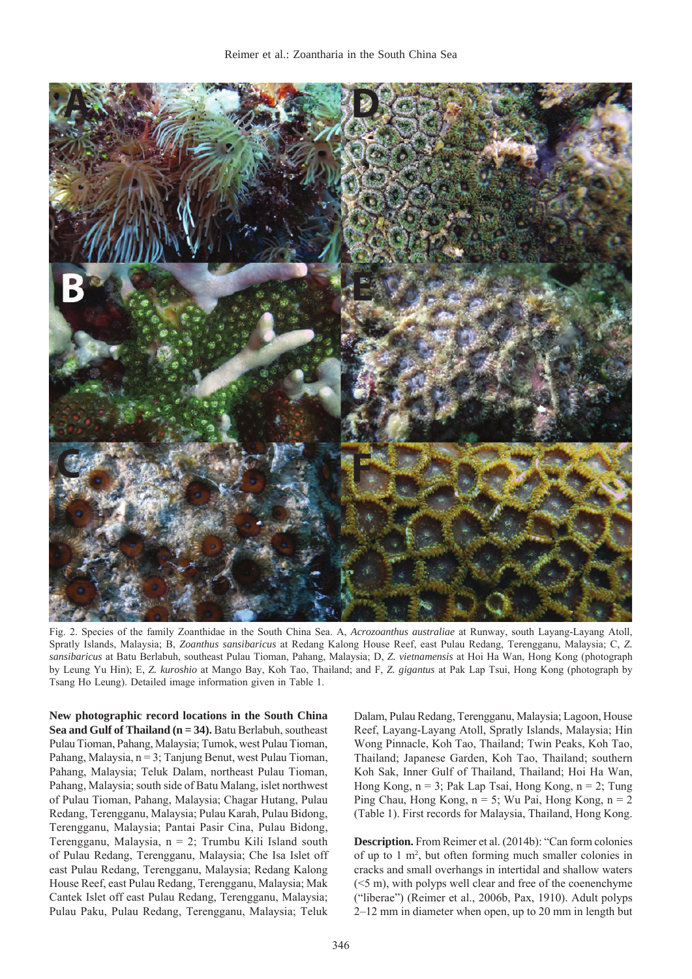

Fig. 2. Species of the family Zoanthidae in the South China Sea. A, *Acrozoanthus australiae* at Runway, south Layang-Layang Atoll, Spratly Islands, Malaysia; B, *Zoanthus sansibaricus* at Redang Kalong House Reef, east Pulau Redang, Terengganu, Malaysia; C, *Z. sansibaricus* at Batu Berlabuh, southeast Pulau Tioman, Pahang, Malaysia; D, *Z. vietnamensis* at Hoi Ha Wan, Hong Kong (photograph by Leung Yu Hin); E, *Z. kuroshio* at Mango Bay, Koh Tao, Thailand; and F, *Z. gigantus* at Pak Lap Tsui, Hong Kong (photograph by Tsang Ho Leung). Detailed image information given in Table 1.

**New photographic record locations in the South China Sea and Gulf of Thailand (n = 34).** Batu Berlabuh, southeast Pulau Tioman, Pahang, Malaysia; Tumok, west Pulau Tioman, Pahang, Malaysia, n = 3; Tanjung Benut, west Pulau Tioman, Pahang, Malaysia; Teluk Dalam, northeast Pulau Tioman, Pahang, Malaysia; south side of Batu Malang, islet northwest of Pulau Tioman, Pahang, Malaysia; Chagar Hutang, Pulau Redang, Terengganu, Malaysia; Pulau Karah, Pulau Bidong, Terengganu, Malaysia; Pantai Pasir Cina, Pulau Bidong, Terengganu, Malaysia, n = 2; Trumbu Kili Island south of Pulau Redang, Terengganu, Malaysia; Che Isa Islet off east Pulau Redang, Terengganu, Malaysia; Redang Kalong House Reef, east Pulau Redang, Terengganu, Malaysia; Mak Cantek Islet off east Pulau Redang, Terengganu, Malaysia; Pulau Paku, Pulau Redang, Terengganu, Malaysia; Teluk

Dalam, Pulau Redang, Terengganu, Malaysia; Lagoon, House Reef, Layang-Layang Atoll, Spratly Islands, Malaysia; Hin Wong Pinnacle, Koh Tao, Thailand; Twin Peaks, Koh Tao, Thailand; Japanese Garden, Koh Tao, Thailand; southern Koh Sak, Inner Gulf of Thailand, Thailand; Hoi Ha Wan, Hong Kong,  $n = 3$ ; Pak Lap Tsai, Hong Kong,  $n = 2$ ; Tung Ping Chau, Hong Kong, n = 5; Wu Pai, Hong Kong, n = 2 (Table 1). First records for Malaysia, Thailand, Hong Kong.

**Description.** From Reimer et al. (2014b): "Can form colonies of up to 1 m<sup>2</sup> , but often forming much smaller colonies in cracks and small overhangs in intertidal and shallow waters (<5 m), with polyps well clear and free of the coenenchyme ("liberae") (Reimer et al., 2006b, Pax, 1910). Adult polyps 2–12 mm in diameter when open, up to 20 mm in length but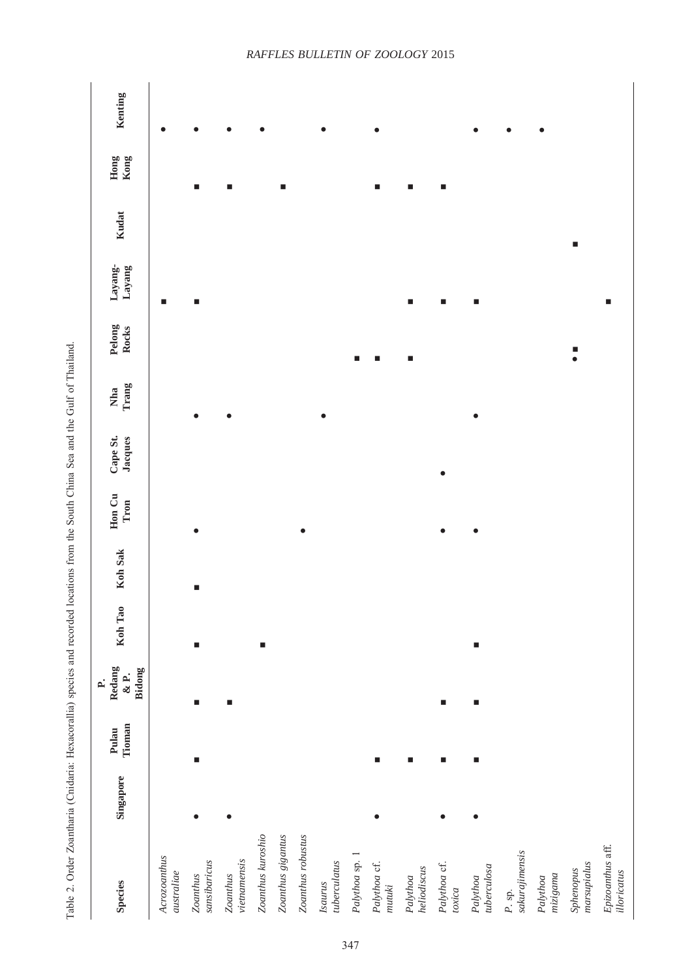|                                 |           |                 | $\mathbf{p}$                |                |         |                |                     |              |                  |                   |       |              |           |
|---------------------------------|-----------|-----------------|-----------------------------|----------------|---------|----------------|---------------------|--------------|------------------|-------------------|-------|--------------|-----------|
| <b>Species</b>                  | Singapore | Tioman<br>Pulau | Redang<br>Bidong<br>$\& P.$ | Koh Tao        | Koh Sak | Hon Cu<br>Tron | Cape St.<br>Jacques | Trang<br>Nha | Pelong<br>Rocks  | Layang-<br>Layang | Kudat | Kong<br>Hong | Kenting   |
| Acrozoanthus<br>australiae      |           |                 |                             |                |         |                |                     |              |                  | ш                 |       |              |           |
| sansibaricus<br>Zoanthus        |           | ш               | ш                           | $\blacksquare$ | п       |                |                     | $\bullet$    |                  | ш                 | ■     |              | $\bullet$ |
| vietnamensis<br>Zoanthus        |           |                 | ш                           |                |         |                |                     | $\bullet$    |                  |                   | ■     |              | $\bullet$ |
| Zoanthus kuroshio               |           |                 |                             | ш              |         |                |                     |              |                  |                   |       |              | $\bullet$ |
| Zoanthus gigantus               |           |                 |                             |                |         |                |                     |              |                  |                   | п     |              |           |
| Zoanthus robustus               |           |                 |                             |                |         |                |                     |              |                  |                   |       |              |           |
| tuberculatus<br><b>Isaurus</b>  |           |                 |                             |                |         |                |                     | $\bullet$    |                  |                   |       |              | $\bullet$ |
| Palythoa sp. 1                  |           |                 |                             |                |         |                |                     |              | E                |                   |       |              |           |
| Palythoa cf.<br>mutuki          |           | ■               |                             |                |         |                |                     |              | ш                |                   | п     |              | $\bullet$ |
| heliodiscus<br>Palythoa         |           | п               |                             |                |         |                |                     |              | п                | ш                 | ш     |              |           |
| Palythoa cf.<br>toxica          | $\bullet$ | п               | ш                           |                |         |                | $\bullet$           |              |                  | ш                 | п     |              |           |
| tuberculosa<br>Palythoa         | $\bullet$ | ш               | $\blacksquare$              | п              |         | $\bullet$      |                     | $\bullet$    |                  | п                 |       |              | $\bullet$ |
| sakurajimensis<br>$P.$ sp.      |           |                 |                             |                |         |                |                     |              |                  |                   |       |              | $\bullet$ |
| mizigama<br>Palythoa            |           |                 |                             |                |         |                |                     |              |                  |                   |       |              | $\bullet$ |
| marsupialus<br>Sphenopus        |           |                 |                             |                |         |                |                     |              | $\ddot{\bullet}$ |                   | П     |              |           |
| Epizoanthus aff.<br>illoricatus |           |                 |                             |                |         |                |                     |              |                  |                   |       |              |           |

Table 2. Order Zoantharia (Cnidaria: Hexacorallia) species and recorded locations from the South China Sea and the Gulf of Thailand. Table 2. Order Zoantharia (Cnidaria: Hexacorallia) species and recorded locations from the South China Sea and the Gulf of Thailand.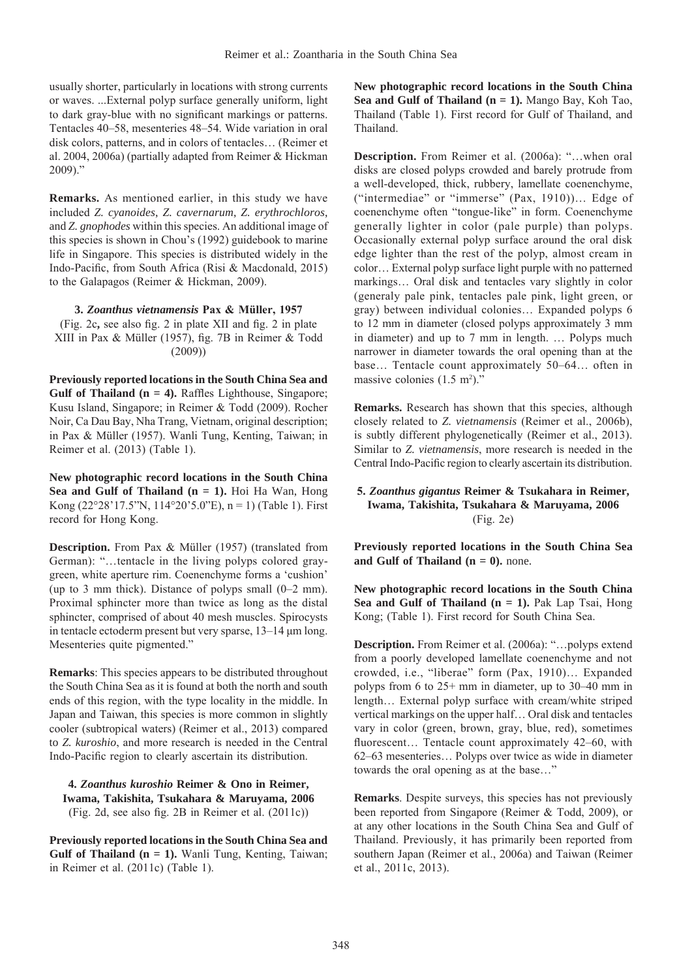usually shorter, particularly in locations with strong currents or waves. ...External polyp surface generally uniform, light to dark gray-blue with no significant markings or patterns. Tentacles 40–58, mesenteries 48–54. Wide variation in oral disk colors, patterns, and in colors of tentacles… (Reimer et al. 2004, 2006a) (partially adapted from Reimer & Hickman  $2009$ ."

**Remarks.** As mentioned earlier, in this study we have included *Z. cyanoides*, *Z. cavernarum*, *Z. erythrochloros*, and *Z. gnophodes* within this species. An additional image of this species is shown in Chou's (1992) guidebook to marine life in Singapore. This species is distributed widely in the Indo-Pacific, from South Africa (Risi & Macdonald, 2015) to the Galapagos (Reimer & Hickman, 2009).

**3.** *Zoanthus vietnamensis* **Pax & Müller, 1957**

(Fig. 2c**,** see also fig. 2 in plate XII and fig. 2 in plate XIII in Pax & Müller (1957), fig. 7B in Reimer & Todd (2009))

**Previously reported locations in the South China Sea and Gulf of Thailand (n = 4).** Raffles Lighthouse, Singapore; Kusu Island, Singapore; in Reimer & Todd (2009). Rocher Noir, Ca Dau Bay, Nha Trang, Vietnam, original description; in Pax & Müller (1957). Wanli Tung, Kenting, Taiwan; in Reimer et al. (2013) (Table 1).

**New photographic record locations in the South China Sea and Gulf of Thailand (n = 1).** Hoi Ha Wan, Hong Kong (22°28'17.5"N, 114°20'5.0"E), n = 1) (Table 1). First record for Hong Kong.

**Description.** From Pax & Müller (1957) (translated from German): "…tentacle in the living polyps colored graygreen, white aperture rim. Coenenchyme forms a 'cushion' (up to 3 mm thick). Distance of polyps small (0–2 mm). Proximal sphincter more than twice as long as the distal sphincter, comprised of about 40 mesh muscles. Spirocysts in tentacle ectoderm present but very sparse, 13–14 μm long. Mesenteries quite pigmented."

**Remarks**: This species appears to be distributed throughout the South China Sea as it is found at both the north and south ends of this region, with the type locality in the middle. In Japan and Taiwan, this species is more common in slightly cooler (subtropical waters) (Reimer et al., 2013) compared to *Z. kuroshio*, and more research is needed in the Central Indo-Pacific region to clearly ascertain its distribution.

**4.** *Zoanthus kuroshio* **Reimer & Ono in Reimer, Iwama, Takishita, Tsukahara & Maruyama, 2006** (Fig. 2d, see also fig. 2B in Reimer et al. (2011c))

**Previously reported locations in the South China Sea and Gulf of Thailand (n = 1).** Wanli Tung, Kenting, Taiwan; in Reimer et al. (2011c) (Table 1).

**New photographic record locations in the South China Sea and Gulf of Thailand (n = 1).** Mango Bay, Koh Tao, Thailand (Table 1). First record for Gulf of Thailand, and Thailand.

**Description.** From Reimer et al. (2006a): "…when oral disks are closed polyps crowded and barely protrude from a well-developed, thick, rubbery, lamellate coenenchyme, ("intermediae" or "immerse" (Pax, 1910))… Edge of coenenchyme often "tongue-like" in form. Coenenchyme generally lighter in color (pale purple) than polyps. Occasionally external polyp surface around the oral disk edge lighter than the rest of the polyp, almost cream in color… External polyp surface light purple with no patterned markings… Oral disk and tentacles vary slightly in color (generaly pale pink, tentacles pale pink, light green, or gray) between individual colonies… Expanded polyps 6 to 12 mm in diameter (closed polyps approximately 3 mm in diameter) and up to 7 mm in length. … Polyps much narrower in diameter towards the oral opening than at the base… Tentacle count approximately 50–64… often in massive colonies  $(1.5 \text{ m}^2)$ ."

**Remarks.** Research has shown that this species, although closely related to *Z. vietnamensis* (Reimer et al., 2006b), is subtly different phylogenetically (Reimer et al., 2013). Similar to *Z. vietnamensis*, more research is needed in the Central Indo-Pacific region to clearly ascertain its distribution.

# **5.** *Zoanthus gigantus* **Reimer & Tsukahara in Reimer, Iwama, Takishita, Tsukahara & Maruyama, 2006** (Fig. 2e)

**Previously reported locations in the South China Sea**  and Gulf of Thailand  $(n = 0)$ . none.

**New photographic record locations in the South China Sea and Gulf of Thailand (n = 1).** Pak Lap Tsai, Hong Kong; (Table 1). First record for South China Sea.

**Description.** From Reimer et al. (2006a): "…polyps extend from a poorly developed lamellate coenenchyme and not crowded, i.e., "liberae" form (Pax, 1910)… Expanded polyps from 6 to 25+ mm in diameter, up to 30–40 mm in length… External polyp surface with cream/white striped vertical markings on the upper half… Oral disk and tentacles vary in color (green, brown, gray, blue, red), sometimes fluorescent... Tentacle count approximately 42–60, with 62–63 mesenteries… Polyps over twice as wide in diameter towards the oral opening as at the base…"

**Remarks**. Despite surveys, this species has not previously been reported from Singapore (Reimer & Todd, 2009), or at any other locations in the South China Sea and Gulf of Thailand. Previously, it has primarily been reported from southern Japan (Reimer et al., 2006a) and Taiwan (Reimer et al., 2011c, 2013).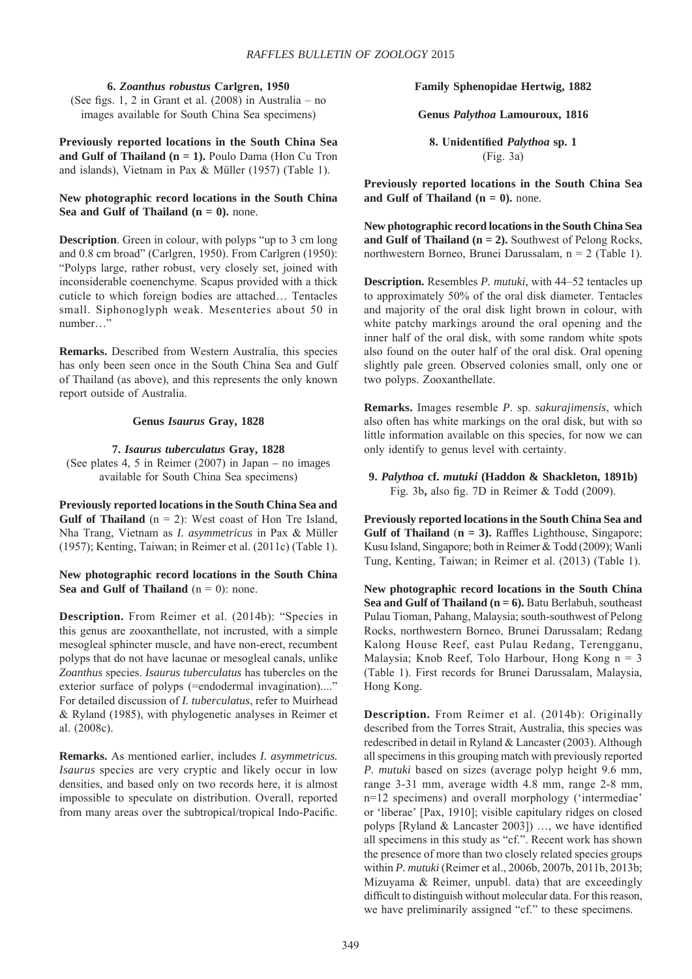#### **6.** *Zoanthus robustus* **Carlgren, 1950**

(See figs. 1, 2 in Grant et al. (2008) in Australia – no images available for South China Sea specimens)

**Previously reported locations in the South China Sea**  and Gulf of Thailand  $(n = 1)$ . Poulo Dama (Hon Cu Tron and islands), Vietnam in Pax & Müller (1957) (Table 1).

# **New photographic record locations in the South China Sea and Gulf of Thailand (** $n = 0$ **).** none.

**Description**. Green in colour, with polyps "up to 3 cm long and 0.8 cm broad" (Carlgren, 1950). From Carlgren (1950): "Polyps large, rather robust, very closely set, joined with inconsiderable coenenchyme. Scapus provided with a thick cuticle to which foreign bodies are attached… Tentacles small. Siphonoglyph weak. Mesenteries about 50 in number…"

**Remarks.** Described from Western Australia, this species has only been seen once in the South China Sea and Gulf of Thailand (as above), and this represents the only known report outside of Australia.

## **Genus** *Isaurus* **Gray, 1828**

#### **7.** *Isaurus tuberculatus* **Gray, 1828**

(See plates 4, 5 in Reimer (2007) in Japan – no images available for South China Sea specimens)

**Previously reported locations in the South China Sea and Gulf of Thailand** (n = 2): West coast of Hon Tre Island, Nha Trang, Vietnam as *I. asymmetricus* in Pax & Müller (1957); Kenting, Taiwan; in Reimer et al. (2011c) (Table 1).

**New photographic record locations in the South China Sea and Gulf of Thailand**  $(n = 0)$ : none.

**Description.** From Reimer et al. (2014b): "Species in this genus are zooxanthellate, not incrusted, with a simple mesogleal sphincter muscle, and have non-erect, recumbent polyps that do not have lacunae or mesogleal canals, unlike *Zoanthus* species. *Isaurus tuberculatus* has tubercles on the exterior surface of polyps (=endodermal invagination)...." For detailed discussion of *I. tuberculatus*, refer to Muirhead & Ryland (1985), with phylogenetic analyses in Reimer et al. (2008c).

**Remarks.** As mentioned earlier, includes *I. asymmetricus. Isaurus* species are very cryptic and likely occur in low densities, and based only on two records here, it is almost impossible to speculate on distribution. Overall, reported from many areas over the subtropical/tropical Indo-Pacific.

#### **Family Sphenopidae Hertwig, 1882**

**Genus** *Palythoa* **Lamouroux, 1816**

**8. Unidentified** *Palythoa* **sp. 1** (Fig. 3a)

**Previously reported locations in the South China Sea**  and Gulf of Thailand  $(n = 0)$ , none.

**New photographic record locations in the South China Sea**  and Gulf of Thailand  $(n = 2)$ . Southwest of Pelong Rocks, northwestern Borneo, Brunei Darussalam, n = 2 (Table 1).

**Description.** Resembles *P. mutuki*, with 44–52 tentacles up to approximately 50% of the oral disk diameter. Tentacles and majority of the oral disk light brown in colour, with white patchy markings around the oral opening and the inner half of the oral disk, with some random white spots also found on the outer half of the oral disk. Oral opening slightly pale green. Observed colonies small, only one or two polyps. Zooxanthellate.

**Remarks.** Images resemble *P*. sp. *sakurajimensis*, which also often has white markings on the oral disk, but with so little information available on this species, for now we can only identify to genus level with certainty.

**9.** *Palythoa* **cf.** *mutuki* **(Haddon & Shackleton, 1891b)** Fig. 3b**,** also fig. 7D in Reimer & Todd (2009).

**Previously reported locations in the South China Sea and Gulf of Thailand** (**n = 3).** Raffles Lighthouse, Singapore; Kusu Island, Singapore; both in Reimer & Todd (2009); Wanli Tung, Kenting, Taiwan; in Reimer et al. (2013) (Table 1).

**New photographic record locations in the South China Sea and Gulf of Thailand (n = 6).** Batu Berlabuh, southeast Pulau Tioman, Pahang, Malaysia; south-southwest of Pelong Rocks, northwestern Borneo, Brunei Darussalam; Redang Kalong House Reef, east Pulau Redang, Terengganu, Malaysia; Knob Reef, Tolo Harbour, Hong Kong  $n = 3$ (Table 1). First records for Brunei Darussalam, Malaysia, Hong Kong.

**Description.** From Reimer et al. (2014b): Originally described from the Torres Strait, Australia, this species was redescribed in detail in Ryland & Lancaster (2003). Although all specimens in this grouping match with previously reported *P. mutuki* based on sizes (average polyp height 9.6 mm, range 3-31 mm, average width 4.8 mm, range 2-8 mm, n=12 specimens) and overall morphology ('intermediae' or 'liberae' [Pax, 1910]; visible capitulary ridges on closed polyps [Ryland & Lancaster 2003]) …, we have identified all specimens in this study as "cf.". Recent work has shown the presence of more than two closely related species groups within *P. mutuki* (Reimer et al., 2006b, 2007b, 2011b, 2013b; Mizuyama & Reimer, unpubl. data) that are exceedingly difficult to distinguish without molecular data. For this reason, we have preliminarily assigned "cf." to these specimens.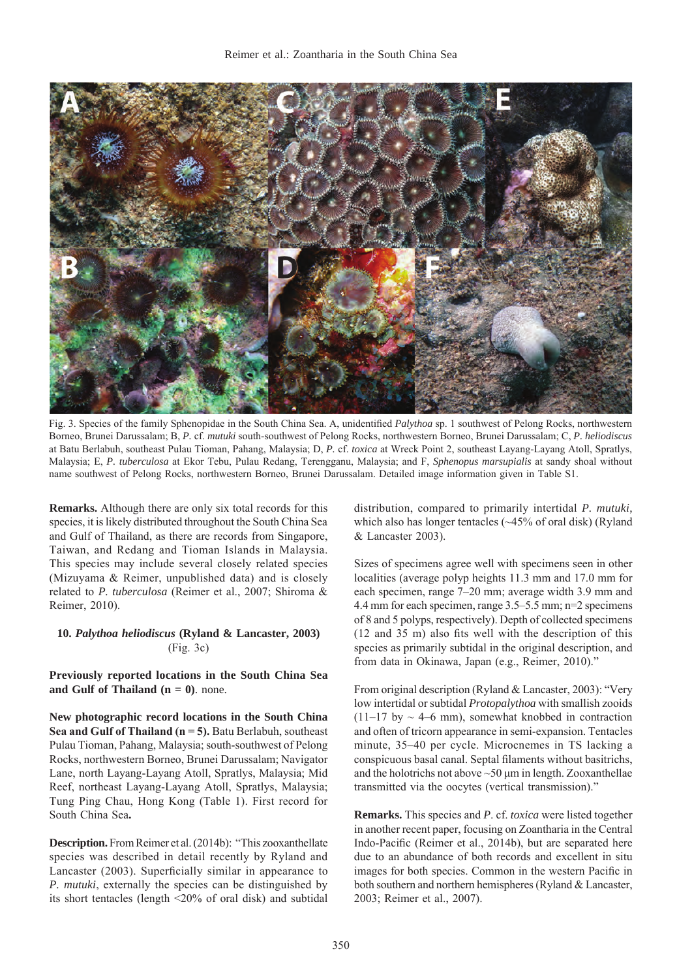

Fig. 3. Species of the family Sphenopidae in the South China Sea. A, unidentified *Palythoa* sp. 1 southwest of Pelong Rocks, northwestern Borneo, Brunei Darussalam; B, *P.* cf. *mutuki* south-southwest of Pelong Rocks, northwestern Borneo, Brunei Darussalam; C, *P. heliodiscus* at Batu Berlabuh, southeast Pulau Tioman, Pahang, Malaysia; D, *P.* cf. *toxica* at Wreck Point 2, southeast Layang-Layang Atoll, Spratlys, Malaysia; E, *P. tuberculosa* at Ekor Tebu, Pulau Redang, Terengganu, Malaysia; and F, *Sphenopus marsupialis* at sandy shoal without name southwest of Pelong Rocks, northwestern Borneo, Brunei Darussalam. Detailed image information given in Table S1.

**Remarks.** Although there are only six total records for this species, it is likely distributed throughout the South China Sea and Gulf of Thailand, as there are records from Singapore, Taiwan, and Redang and Tioman Islands in Malaysia. This species may include several closely related species (Mizuyama & Reimer, unpublished data) and is closely related to *P. tuberculosa* (Reimer et al., 2007; Shiroma & Reimer, 2010).

# **10.** *Palythoa heliodiscus* **(Ryland & Lancaster, 2003)** (Fig. 3c)

**Previously reported locations in the South China Sea**  and Gulf of Thailand  $(n = 0)$ . none.

**New photographic record locations in the South China Sea and Gulf of Thailand (n = 5).** Batu Berlabuh, southeast Pulau Tioman, Pahang, Malaysia; south-southwest of Pelong Rocks, northwestern Borneo, Brunei Darussalam; Navigator Lane, north Layang-Layang Atoll, Spratlys, Malaysia; Mid Reef, northeast Layang-Layang Atoll, Spratlys, Malaysia; Tung Ping Chau, Hong Kong (Table 1). First record for South China Sea**.**

**Description.** From Reimer et al. (2014b): "This zooxanthellate species was described in detail recently by Ryland and Lancaster (2003). Superficially similar in appearance to *P. mutuki*, externally the species can be distinguished by its short tentacles (length <20% of oral disk) and subtidal distribution, compared to primarily intertidal *P. mutuki*, which also has longer tentacles (~45% of oral disk) (Ryland & Lancaster 2003).

Sizes of specimens agree well with specimens seen in other localities (average polyp heights 11.3 mm and 17.0 mm for each specimen, range 7–20 mm; average width 3.9 mm and 4.4 mm for each specimen, range 3.5–5.5 mm; n=2 specimens of 8 and 5 polyps, respectively). Depth of collected specimens (12 and 35 m) also fits well with the description of this species as primarily subtidal in the original description, and from data in Okinawa, Japan (e.g., Reimer, 2010)."

From original description (Ryland & Lancaster, 2003): "Very low intertidal or subtidal *Protopalythoa* with smallish zooids  $(11-17)$  by  $\sim$  4–6 mm), somewhat knobbed in contraction and often of tricorn appearance in semi-expansion. Tentacles minute, 35–40 per cycle. Microcnemes in TS lacking a conspicuous basal canal. Septal filaments without basitrichs, and the holotrichs not above  $\sim 50$  um in length. Zooxanthellae transmitted via the oocytes (vertical transmission)."

**Remarks.** This species and *P*. cf. *toxica* were listed together in another recent paper, focusing on Zoantharia in the Central Indo-Pacific (Reimer et al., 2014b), but are separated here due to an abundance of both records and excellent in situ images for both species. Common in the western Pacific in both southern and northern hemispheres (Ryland & Lancaster, 2003; Reimer et al., 2007).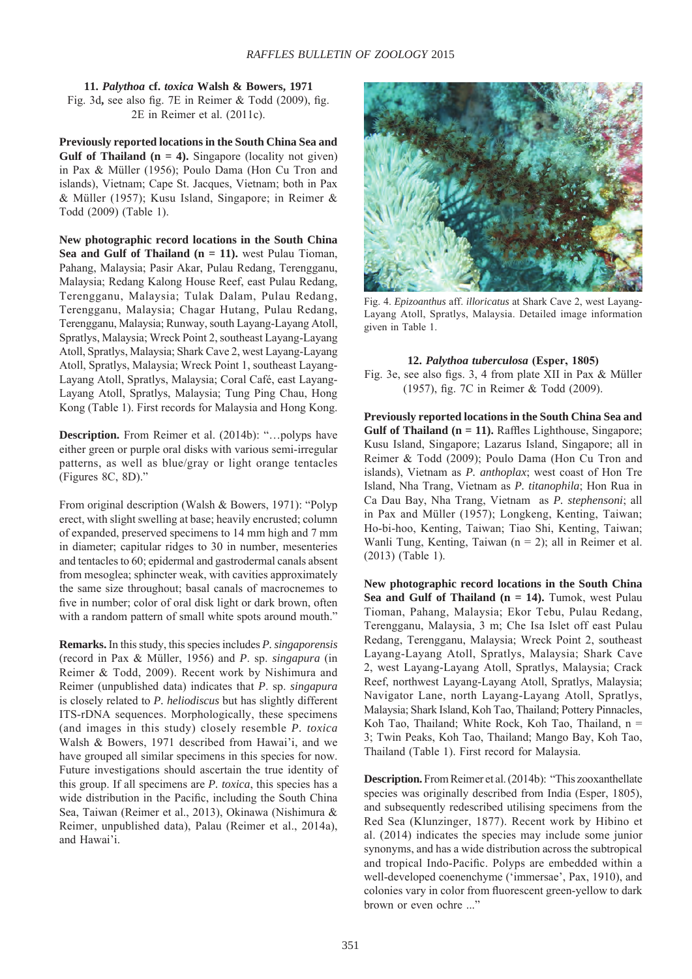**11.** *Palythoa* **cf.** *toxica* **Walsh & Bowers, 1971** Fig. 3d**,** see also fig. 7E in Reimer & Todd (2009), fig. 2E in Reimer et al. (2011c).

**Previously reported locations in the South China Sea and Gulf of Thailand (n = 4).** Singapore (locality not given) in Pax & Müller (1956); Poulo Dama (Hon Cu Tron and islands), Vietnam; Cape St. Jacques, Vietnam; both in Pax & Müller (1957); Kusu Island, Singapore; in Reimer & Todd (2009) (Table 1).

**New photographic record locations in the South China Sea and Gulf of Thailand (n = 11).** west Pulau Tioman, Pahang, Malaysia; Pasir Akar, Pulau Redang, Terengganu, Malaysia; Redang Kalong House Reef, east Pulau Redang, Terengganu, Malaysia; Tulak Dalam, Pulau Redang, Terengganu, Malaysia; Chagar Hutang, Pulau Redang, Terengganu, Malaysia; Runway, south Layang-Layang Atoll, Spratlys, Malaysia; Wreck Point 2, southeast Layang-Layang Atoll, Spratlys, Malaysia; Shark Cave 2, west Layang-Layang Atoll, Spratlys, Malaysia; Wreck Point 1, southeast Layang-Layang Atoll, Spratlys, Malaysia; Coral Café, east Layang-Layang Atoll, Spratlys, Malaysia; Tung Ping Chau, Hong Kong (Table 1). First records for Malaysia and Hong Kong.

**Description.** From Reimer et al. (2014b): "…polyps have either green or purple oral disks with various semi-irregular patterns, as well as blue/gray or light orange tentacles (Figures 8C, 8D)."

From original description (Walsh & Bowers, 1971): "Polyp erect, with slight swelling at base; heavily encrusted; column of expanded, preserved specimens to 14 mm high and 7 mm in diameter; capitular ridges to 30 in number, mesenteries and tentacles to 60; epidermal and gastrodermal canals absent from mesoglea; sphincter weak, with cavities approximately the same size throughout; basal canals of macrocnemes to five in number; color of oral disk light or dark brown, often with a random pattern of small white spots around mouth."

**Remarks.** In this study, this species includes *P. singaporensis* (record in Pax & Müller, 1956) and *P*. sp. *singapura* (in Reimer & Todd, 2009). Recent work by Nishimura and Reimer (unpublished data) indicates that *P*. sp. *singapura* is closely related to *P. heliodiscus* but has slightly different ITS-rDNA sequences. Morphologically, these specimens (and images in this study) closely resemble *P. toxica* Walsh & Bowers, 1971 described from Hawai'i, and we have grouped all similar specimens in this species for now. Future investigations should ascertain the true identity of this group. If all specimens are *P. toxica*, this species has a wide distribution in the Pacific, including the South China Sea, Taiwan (Reimer et al., 2013), Okinawa (Nishimura & Reimer, unpublished data), Palau (Reimer et al., 2014a), and Hawai'i.



Fig. 4. *Epizoanthus* aff. *illoricatus* at Shark Cave 2, west Layang-Layang Atoll, Spratlys, Malaysia. Detailed image information given in Table 1.

#### **12.** *Palythoa tuberculosa* **(Esper, 1805)**

Fig. 3e, see also figs. 3, 4 from plate XII in Pax & Müller (1957), fig. 7C in Reimer & Todd (2009).

**Previously reported locations in the South China Sea and Gulf of Thailand (** $n = 11$ **).** Raffles Lighthouse, Singapore; Kusu Island, Singapore; Lazarus Island, Singapore; all in Reimer & Todd (2009); Poulo Dama (Hon Cu Tron and islands), Vietnam as *P. anthoplax*; west coast of Hon Tre Island, Nha Trang, Vietnam as *P. titanophila*; Hon Rua in Ca Dau Bay, Nha Trang, Vietnam as *P. stephensoni*; all in Pax and Müller (1957); Longkeng, Kenting, Taiwan; Ho-bi-hoo, Kenting, Taiwan; Tiao Shi, Kenting, Taiwan; Wanli Tung, Kenting, Taiwan (n = 2); all in Reimer et al. (2013) (Table 1).

**New photographic record locations in the South China Sea and Gulf of Thailand (n = 14).** Tumok, west Pulau Tioman, Pahang, Malaysia; Ekor Tebu, Pulau Redang, Terengganu, Malaysia, 3 m; Che Isa Islet off east Pulau Redang, Terengganu, Malaysia; Wreck Point 2, southeast Layang-Layang Atoll, Spratlys, Malaysia; Shark Cave 2, west Layang-Layang Atoll, Spratlys, Malaysia; Crack Reef, northwest Layang-Layang Atoll, Spratlys, Malaysia; Navigator Lane, north Layang-Layang Atoll, Spratlys, Malaysia; Shark Island, Koh Tao, Thailand; Pottery Pinnacles, Koh Tao, Thailand; White Rock, Koh Tao, Thailand,  $n =$ 3; Twin Peaks, Koh Tao, Thailand; Mango Bay, Koh Tao, Thailand (Table 1). First record for Malaysia.

**Description.** From Reimer et al. (2014b): "This zooxanthellate species was originally described from India (Esper, 1805), and subsequently redescribed utilising specimens from the Red Sea (Klunzinger, 1877). Recent work by Hibino et al. (2014) indicates the species may include some junior synonyms, and has a wide distribution across the subtropical and tropical Indo-Pacific. Polyps are embedded within a well-developed coenenchyme ('immersae', Pax, 1910), and colonies vary in color from fluorescent green-yellow to dark brown or even ochre ..."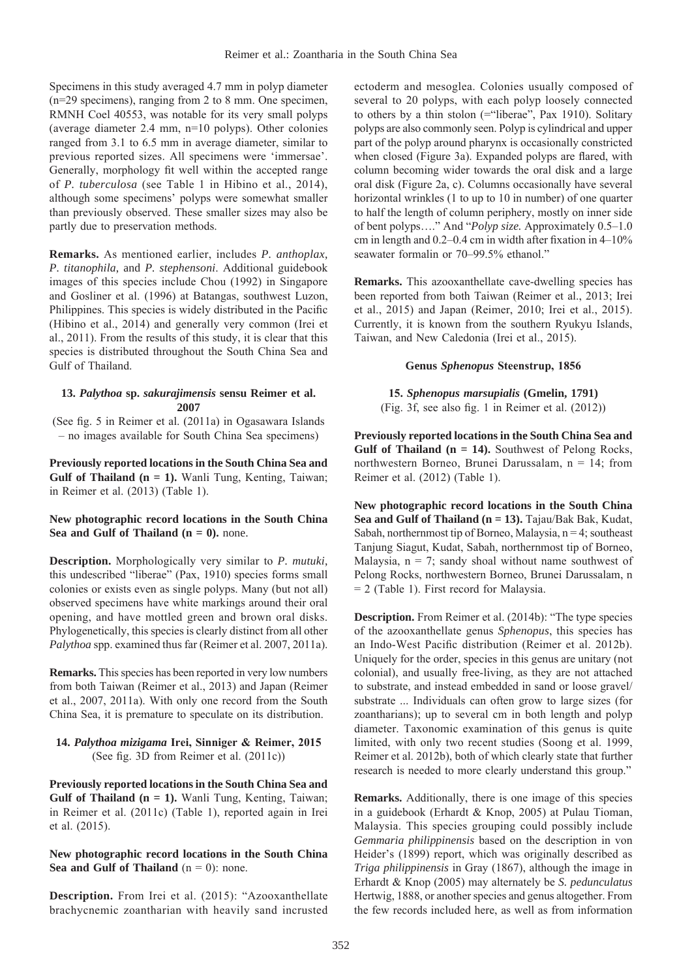Specimens in this study averaged 4.7 mm in polyp diameter (n=29 specimens), ranging from 2 to 8 mm. One specimen, RMNH Coel 40553, was notable for its very small polyps (average diameter 2.4 mm, n=10 polyps). Other colonies ranged from 3.1 to 6.5 mm in average diameter, similar to previous reported sizes. All specimens were 'immersae'. Generally, morphology fit well within the accepted range of *P. tuberculosa* (see Table 1 in Hibino et al., 2014), although some specimens' polyps were somewhat smaller than previously observed. These smaller sizes may also be partly due to preservation methods.

**Remarks.** As mentioned earlier, includes *P. anthoplax*, *P. titanophila*, and *P. stephensoni*. Additional guidebook images of this species include Chou (1992) in Singapore and Gosliner et al. (1996) at Batangas, southwest Luzon, Philippines. This species is widely distributed in the Pacific (Hibino et al., 2014) and generally very common (Irei et al., 2011). From the results of this study, it is clear that this species is distributed throughout the South China Sea and Gulf of Thailand.

## **13.** *Palythoa* **sp.** *sakurajimensis* **sensu Reimer et al. 2007**

(See fig. 5 in Reimer et al. (2011a) in Ogasawara Islands – no images available for South China Sea specimens)

**Previously reported locations in the South China Sea and Gulf of Thailand (n = 1).** Wanli Tung, Kenting, Taiwan; in Reimer et al. (2013) (Table 1).

# **New photographic record locations in the South China Sea and Gulf of Thailand (n = 0).** none.

**Description.** Morphologically very similar to *P. mutuki*, this undescribed "liberae" (Pax, 1910) species forms small colonies or exists even as single polyps. Many (but not all) observed specimens have white markings around their oral opening, and have mottled green and brown oral disks. Phylogenetically, this species is clearly distinct from all other *Palythoa* spp. examined thus far (Reimer et al. 2007, 2011a).

**Remarks.** This species has been reported in very low numbers from both Taiwan (Reimer et al., 2013) and Japan (Reimer et al., 2007, 2011a). With only one record from the South China Sea, it is premature to speculate on its distribution.

# **14.** *Palythoa mizigama* **Irei, Sinniger & Reimer, 2015** (See fig. 3D from Reimer et al. (2011c))

**Previously reported locations in the South China Sea and Gulf of Thailand (n = 1).** Wanli Tung, Kenting, Taiwan; in Reimer et al. (2011c) (Table 1), reported again in Irei et al. (2015).

**New photographic record locations in the South China Sea and Gulf of Thailand**  $(n = 0)$ : none.

**Description.** From Irei et al. (2015): "Azooxanthellate brachycnemic zoantharian with heavily sand incrusted

ectoderm and mesoglea. Colonies usually composed of several to 20 polyps, with each polyp loosely connected to others by a thin stolon (="liberae", Pax 1910). Solitary polyps are also commonly seen. Polyp is cylindrical and upper part of the polyp around pharynx is occasionally constricted when closed (Figure 3a). Expanded polyps are flared, with column becoming wider towards the oral disk and a large oral disk (Figure 2a, c). Columns occasionally have several horizontal wrinkles (1 to up to 10 in number) of one quarter to half the length of column periphery, mostly on inner side of bent polyps…." And "*Polyp size.* Approximately 0.5–1.0 cm in length and 0.2–0.4 cm in width after fixation in 4–10% seawater formalin or 70–99.5% ethanol."

**Remarks.** This azooxanthellate cave-dwelling species has been reported from both Taiwan (Reimer et al., 2013; Irei et al., 2015) and Japan (Reimer, 2010; Irei et al., 2015). Currently, it is known from the southern Ryukyu Islands, Taiwan, and New Caledonia (Irei et al., 2015).

# **Genus** *Sphenopus* **Steenstrup, 1856**

**15.** *Sphenopus marsupialis* **(Gmelin, 1791)** (Fig. 3f, see also fig. 1 in Reimer et al. (2012))

**Previously reported locations in the South China Sea and Gulf of Thailand (n = 14).** Southwest of Pelong Rocks, northwestern Borneo, Brunei Darussalam, n = 14; from Reimer et al. (2012) (Table 1).

**New photographic record locations in the South China Sea and Gulf of Thailand (n = 13).** Tajau/Bak Bak, Kudat, Sabah, northernmost tip of Borneo, Malaysia,  $n = 4$ ; southeast Tanjung Siagut, Kudat, Sabah, northernmost tip of Borneo, Malaysia,  $n = 7$ ; sandy shoal without name southwest of Pelong Rocks, northwestern Borneo, Brunei Darussalam, n  $= 2$  (Table 1). First record for Malaysia.

**Description.** From Reimer et al. (2014b): "The type species of the azooxanthellate genus *Sphenopus*, this species has an Indo-West Pacific distribution (Reimer et al. 2012b). Uniquely for the order, species in this genus are unitary (not colonial), and usually free-living, as they are not attached to substrate, and instead embedded in sand or loose gravel/ substrate ... Individuals can often grow to large sizes (for zoantharians); up to several cm in both length and polyp diameter. Taxonomic examination of this genus is quite limited, with only two recent studies (Soong et al. 1999, Reimer et al. 2012b), both of which clearly state that further research is needed to more clearly understand this group."

**Remarks.** Additionally, there is one image of this species in a guidebook (Erhardt & Knop, 2005) at Pulau Tioman, Malaysia. This species grouping could possibly include *Gemmaria philippinensis* based on the description in von Heider's (1899) report, which was originally described as *Triga philippinensis* in Gray (1867), although the image in Erhardt & Knop (2005) may alternately be *S. pedunculatus* Hertwig, 1888, or another species and genus altogether. From the few records included here, as well as from information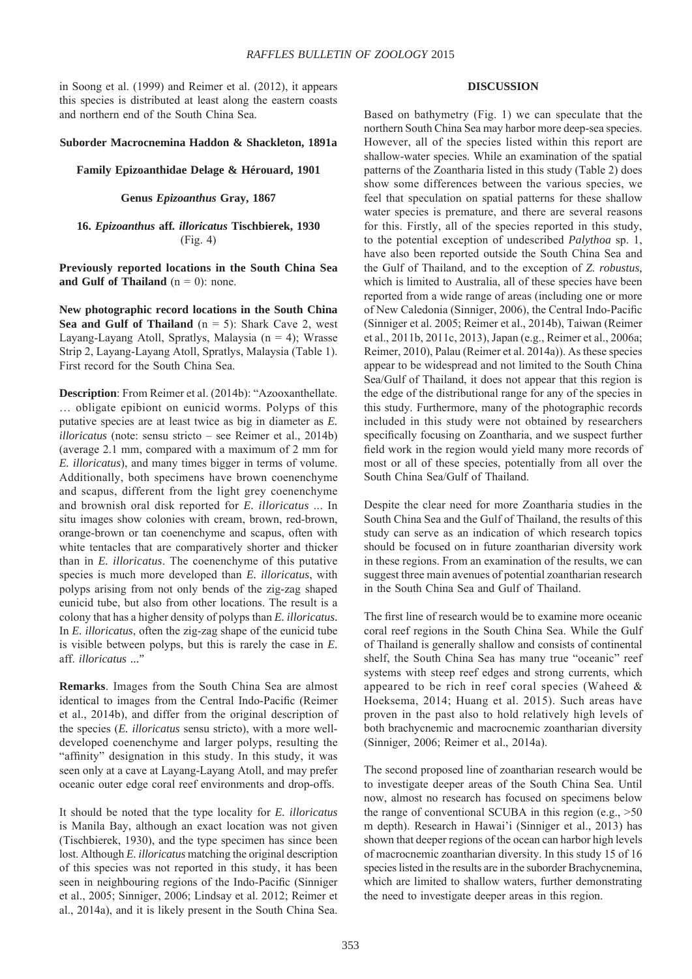in Soong et al. (1999) and Reimer et al. (2012), it appears this species is distributed at least along the eastern coasts and northern end of the South China Sea.

# **Suborder Macrocnemina Haddon & Shackleton, 1891a**

## **Family Epizoanthidae Delage & Hérouard, 1901**

## **Genus** *Epizoanthus* **Gray, 1867**

# **16.** *Epizoanthus* **aff***. illoricatus* **Tischbierek, 1930** (Fig. 4)

**Previously reported locations in the South China Sea and Gulf of Thailand**  $(n = 0)$ : none.

**New photographic record locations in the South China Sea and Gulf of Thailand** (n = 5): Shark Cave 2, west Layang-Layang Atoll, Spratlys, Malaysia  $(n = 4)$ ; Wrasse Strip 2, Layang-Layang Atoll, Spratlys, Malaysia (Table 1). First record for the South China Sea.

**Description**: From Reimer et al. (2014b): "Azooxanthellate. … obligate epibiont on eunicid worms. Polyps of this putative species are at least twice as big in diameter as *E. illoricatus* (note: sensu stricto – see Reimer et al., 2014b) (average 2.1 mm, compared with a maximum of 2 mm for *E. illoricatus*), and many times bigger in terms of volume. Additionally, both specimens have brown coenenchyme and scapus, different from the light grey coenenchyme and brownish oral disk reported for *E. illoricatus* ... In situ images show colonies with cream, brown, red-brown, orange-brown or tan coenenchyme and scapus, often with white tentacles that are comparatively shorter and thicker than in *E. illoricatus*. The coenenchyme of this putative species is much more developed than *E. illoricatus*, with polyps arising from not only bends of the zig-zag shaped eunicid tube, but also from other locations. The result is a colony that has a higher density of polyps than *E. illoricatus*. In *E. illoricatus*, often the zig-zag shape of the eunicid tube is visible between polyps, but this is rarely the case in *E*. aff. *illoricatus* ..."

**Remarks**. Images from the South China Sea are almost identical to images from the Central Indo-Pacific (Reimer et al., 2014b), and differ from the original description of the species (*E. illoricatus* sensu stricto), with a more welldeveloped coenenchyme and larger polyps, resulting the "affinity" designation in this study. In this study, it was seen only at a cave at Layang-Layang Atoll, and may prefer oceanic outer edge coral reef environments and drop-offs.

It should be noted that the type locality for *E. illoricatus* is Manila Bay, although an exact location was not given (Tischbierek, 1930), and the type specimen has since been lost. Although *E. illoricatus* matching the original description of this species was not reported in this study, it has been seen in neighbouring regions of the Indo-Pacific (Sinniger et al., 2005; Sinniger, 2006; Lindsay et al. 2012; Reimer et al., 2014a), and it is likely present in the South China Sea.

# **DISCUSSION**

Based on bathymetry (Fig. 1) we can speculate that the northern South China Sea may harbor more deep-sea species. However, all of the species listed within this report are shallow-water species. While an examination of the spatial patterns of the Zoantharia listed in this study (Table 2) does show some differences between the various species, we feel that speculation on spatial patterns for these shallow water species is premature, and there are several reasons for this. Firstly, all of the species reported in this study, to the potential exception of undescribed *Palythoa* sp. 1, have also been reported outside the South China Sea and the Gulf of Thailand, and to the exception of *Z. robustus*, which is limited to Australia, all of these species have been reported from a wide range of areas (including one or more of New Caledonia (Sinniger, 2006), the Central Indo-Pacific (Sinniger et al. 2005; Reimer et al., 2014b), Taiwan (Reimer et al., 2011b, 2011c, 2013), Japan (e.g., Reimer et al., 2006a; Reimer, 2010), Palau (Reimer et al. 2014a)). As these species appear to be widespread and not limited to the South China Sea/Gulf of Thailand, it does not appear that this region is the edge of the distributional range for any of the species in this study. Furthermore, many of the photographic records included in this study were not obtained by researchers specifically focusing on Zoantharia, and we suspect further field work in the region would yield many more records of most or all of these species, potentially from all over the South China Sea/Gulf of Thailand.

Despite the clear need for more Zoantharia studies in the South China Sea and the Gulf of Thailand, the results of this study can serve as an indication of which research topics should be focused on in future zoantharian diversity work in these regions. From an examination of the results, we can suggest three main avenues of potential zoantharian research in the South China Sea and Gulf of Thailand.

The first line of research would be to examine more oceanic coral reef regions in the South China Sea. While the Gulf of Thailand is generally shallow and consists of continental shelf, the South China Sea has many true "oceanic" reef systems with steep reef edges and strong currents, which appeared to be rich in reef coral species (Waheed & Hoeksema, 2014; Huang et al. 2015). Such areas have proven in the past also to hold relatively high levels of both brachycnemic and macrocnemic zoantharian diversity (Sinniger, 2006; Reimer et al., 2014a).

The second proposed line of zoantharian research would be to investigate deeper areas of the South China Sea. Until now, almost no research has focused on specimens below the range of conventional SCUBA in this region (e.g.,  $>50$ ) m depth). Research in Hawai'i (Sinniger et al., 2013) has shown that deeper regions of the ocean can harbor high levels of macrocnemic zoantharian diversity. In this study 15 of 16 species listed in the results are in the suborder Brachycnemina, which are limited to shallow waters, further demonstrating the need to investigate deeper areas in this region.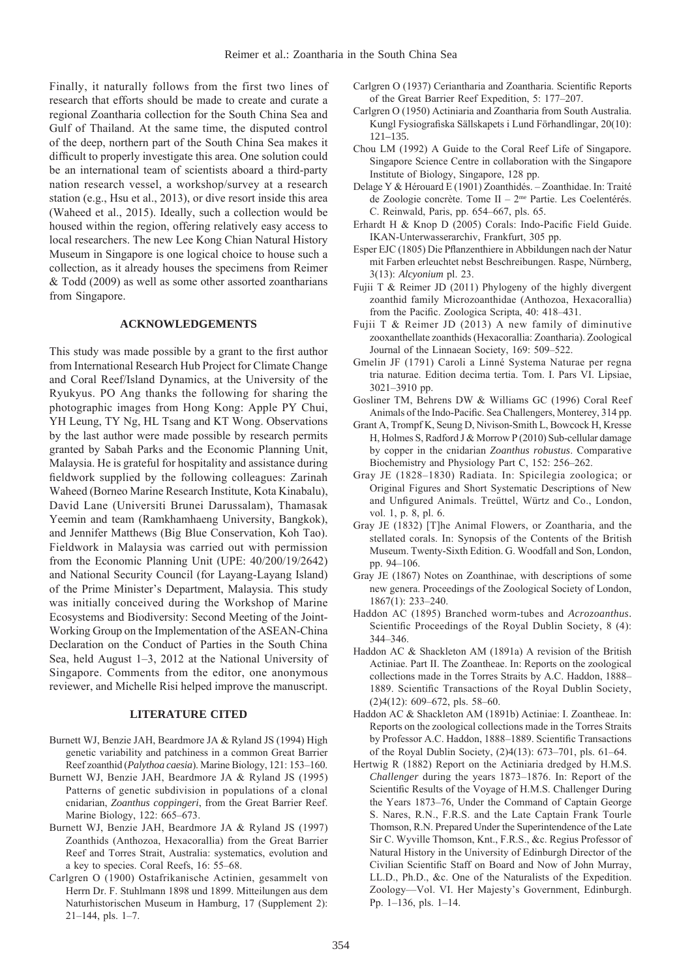Finally, it naturally follows from the first two lines of research that efforts should be made to create and curate a regional Zoantharia collection for the South China Sea and Gulf of Thailand. At the same time, the disputed control of the deep, northern part of the South China Sea makes it difficult to properly investigate this area. One solution could be an international team of scientists aboard a third-party nation research vessel, a workshop/survey at a research station (e.g., Hsu et al., 2013), or dive resort inside this area (Waheed et al., 2015). Ideally, such a collection would be housed within the region, offering relatively easy access to local researchers. The new Lee Kong Chian Natural History Museum in Singapore is one logical choice to house such a collection, as it already houses the specimens from Reimer & Todd (2009) as well as some other assorted zoantharians from Singapore.

#### **ACKNOWLEDGEMENTS**

This study was made possible by a grant to the first author from International Research Hub Project for Climate Change and Coral Reef/Island Dynamics, at the University of the Ryukyus. PO Ang thanks the following for sharing the photographic images from Hong Kong: Apple PY Chui, YH Leung, TY Ng, HL Tsang and KT Wong. Observations by the last author were made possible by research permits granted by Sabah Parks and the Economic Planning Unit, Malaysia. He is grateful for hospitality and assistance during fieldwork supplied by the following colleagues: Zarinah Waheed (Borneo Marine Research Institute, Kota Kinabalu), David Lane (Universiti Brunei Darussalam), Thamasak Yeemin and team (Ramkhamhaeng University, Bangkok), and Jennifer Matthews (Big Blue Conservation, Koh Tao). Fieldwork in Malaysia was carried out with permission from the Economic Planning Unit (UPE: 40/200/19/2642) and National Security Council (for Layang-Layang Island) of the Prime Minister's Department, Malaysia. This study was initially conceived during the Workshop of Marine Ecosystems and Biodiversity: Second Meeting of the Joint-Working Group on the Implementation of the ASEAN-China Declaration on the Conduct of Parties in the South China Sea, held August 1–3, 2012 at the National University of Singapore. Comments from the editor, one anonymous reviewer, and Michelle Risi helped improve the manuscript.

#### **LITERATURE CITED**

- Burnett WJ, Benzie JAH, Beardmore JA & Ryland JS (1994) High genetic variability and patchiness in a common Great Barrier Reef zoanthid (*Palythoa caesia*). Marine Biology, 121: 153–160.
- Burnett WJ, Benzie JAH, Beardmore JA & Ryland JS (1995) Patterns of genetic subdivision in populations of a clonal cnidarian, *Zoanthus coppingeri*, from the Great Barrier Reef. Marine Biology, 122: 665–673.
- Burnett WJ, Benzie JAH, Beardmore JA & Ryland JS (1997) Zoanthids (Anthozoa, Hexacorallia) from the Great Barrier Reef and Torres Strait, Australia: systematics, evolution and a key to species. Coral Reefs, 16: 55–68.
- Carlgren O (1900) Ostafrikanische Actinien, gesammelt von Herrn Dr. F. Stuhlmann 1898 und 1899. Mitteilungen aus dem Naturhistorischen Museum in Hamburg, 17 (Supplement 2): 21–144, pls. 1–7.
- Carlgren O (1937) Ceriantharia and Zoantharia. Scientific Reports of the Great Barrier Reef Expedition, 5: 177–207.
- Carlgren O (1950) Actiniaria and Zoantharia from South Australia. Kungl Fysiografiska Sällskapets i Lund Förhandlingar, 20(10): 121–135.
- Chou LM (1992) A Guide to the Coral Reef Life of Singapore*.* Singapore Science Centre in collaboration with the Singapore Institute of Biology, Singapore, 128 pp.
- Delage Y & Hérouard E (1901) Zoanthidés. Zoanthidae. In: Traité de Zoologie concrète. Tome  $II - 2<sup>me</sup>$  Partie. Les Coelentérés. C. Reinwald, Paris, pp. 654–667, pls. 65.
- Erhardt H & Knop D (2005) Corals: Indo-Pacific Field Guide. IKAN-Unterwasserarchiv, Frankfurt, 305 pp.
- Esper EJC (1805) Die Pflanzenthiere in Abbildungen nach der Natur mit Farben erleuchtet nebst Beschreibungen. Raspe, Nürnberg, 3(13): *Alcyonium* pl. 23.
- Fujii T & Reimer JD (2011) Phylogeny of the highly divergent zoanthid family Microzoanthidae (Anthozoa, Hexacorallia) from the Pacific. Zoologica Scripta, 40: 418–431.
- Fujii T & Reimer JD (2013) A new family of diminutive zooxanthellate zoanthids (Hexacorallia: Zoantharia). Zoological Journal of the Linnaean Society, 169: 509–522.
- Gmelin JF (1791) Caroli a Linné Systema Naturae per regna tria naturae. Edition decima tertia. Tom. I. Pars VI. Lipsiae, 3021–3910 pp.
- Gosliner TM, Behrens DW & Williams GC (1996) Coral Reef Animals of the Indo-Pacific. Sea Challengers, Monterey, 314 pp.
- Grant A, Trompf K, Seung D, Nivison-Smith L, Bowcock H, Kresse H, Holmes S, Radford J & Morrow P (2010) Sub-cellular damage by copper in the cnidarian *Zoanthus robustus*. Comparative Biochemistry and Physiology Part C, 152: 256–262.
- Gray JE (1828–1830) Radiata. In: Spicilegia zoologica; or Original Figures and Short Systematic Descriptions of New and Unfigured Animals. Treüttel, Würtz and Co., London, vol. 1, p. 8, pl. 6.
- Gray JE (1832) [T]he Animal Flowers, or Zoantharia, and the stellated corals. In: Synopsis of the Contents of the British Museum. Twenty-Sixth Edition. G. Woodfall and Son, London, pp. 94–106.
- Gray JE (1867) Notes on Zoanthinae, with descriptions of some new genera. Proceedings of the Zoological Society of London, 1867(1): 233–240.
- Haddon AC (1895) Branched worm-tubes and *Acrozoanthus*. Scientific Proceedings of the Royal Dublin Society, 8 (4): 344–346.
- Haddon AC & Shackleton AM (1891a) A revision of the British Actiniae. Part II. The Zoantheae. In: Reports on the zoological collections made in the Torres Straits by A.C. Haddon, 1888– 1889. Scientific Transactions of the Royal Dublin Society, (2)4(12): 609–672, pls. 58–60.
- Haddon AC & Shackleton AM (1891b) Actiniae: I. Zoantheae. In: Reports on the zoological collections made in the Torres Straits by Professor A.C. Haddon, 1888–1889. Scientific Transactions of the Royal Dublin Society, (2)4(13): 673–701, pls. 61–64.
- Hertwig R (1882) Report on the Actiniaria dredged by H.M.S. *Challenger* during the years 1873–1876. In: Report of the Scientific Results of the Voyage of H.M.S. Challenger During the Years 1873–76, Under the Command of Captain George S. Nares, R.N., F.R.S. and the Late Captain Frank Tourle Thomson, R.N. Prepared Under the Superintendence of the Late Sir C. Wyville Thomson, Knt., F.R.S., &c. Regius Professor of Natural History in the University of Edinburgh Director of the Civilian Scientific Staff on Board and Now of John Murray, LL.D., Ph.D., &c. One of the Naturalists of the Expedition. Zoology—Vol. VI. Her Majesty's Government, Edinburgh. Pp. 1–136, pls. 1–14.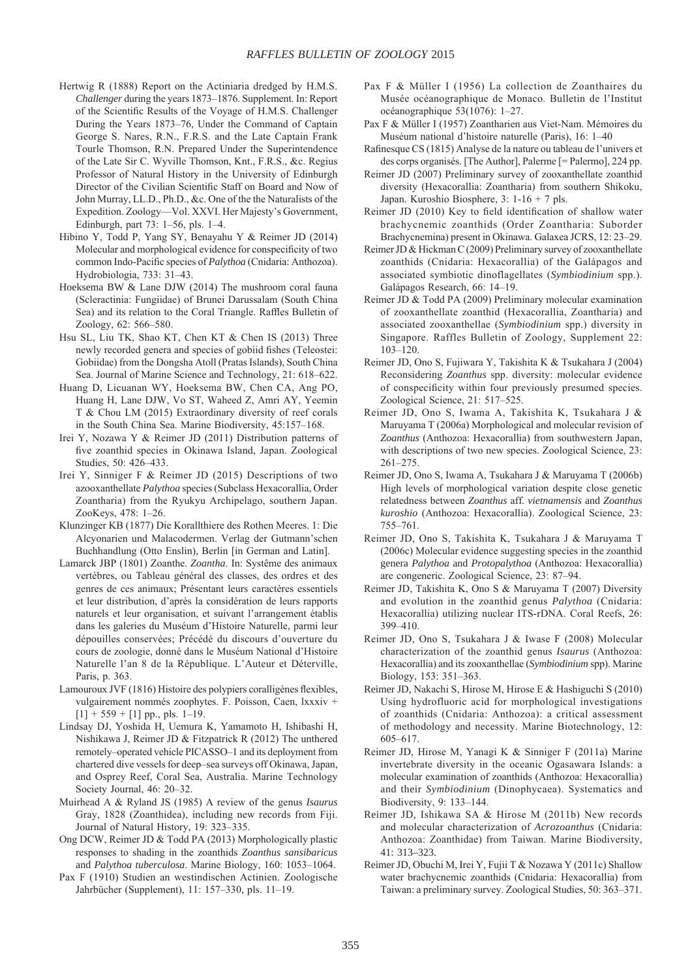- Hertwig R (1888) Report on the Actiniaria dredged by H.M.S. *Challenger* during the years 1873–1876. Supplement. In: Report of the Scientific Results of the Voyage of H.M.S. Challenger During the Years 1873–76, Under the Command of Captain George S. Nares, R.N., F.R.S. and the Late Captain Frank Tourle Thomson, R.N. Prepared Under the Superintendence of the Late Sir C. Wyville Thomson, Knt., F.R.S., &c. Regius Professor of Natural History in the University of Edinburgh Director of the Civilian Scientific Staff on Board and Now of John Murray, LL.D., Ph.D., &c. One of the the Naturalists of the Expedition. Zoology—Vol. XXVI. Her Majesty's Government, Edinburgh, part 73: 1–56, pls. 1–4.
- Hibino Y, Todd P, Yang SY, Benayahu Y & Reimer JD (2014) Molecular and morphological evidence for conspecificity of two common Indo-Pacific species of *Palythoa* (Cnidaria: Anthozoa). Hydrobiologia, 733: 31–43.
- Hoeksema BW & Lane DJW (2014) The mushroom coral fauna (Scleractinia: Fungiidae) of Brunei Darussalam (South China Sea) and its relation to the Coral Triangle. Raffles Bulletin of Zoology, 62: 566–580.
- Hsu SL, Liu TK, Shao KT, Chen KT & Chen IS (2013) Three newly recorded genera and species of gobiid fishes (Teleostei: Gobiidae) from the Dongsha Atoll (Pratas Islands), South China Sea. Journal of Marine Science and Technology, 21: 618–622.
- Huang D, Licuanan WY, Hoeksema BW, Chen CA, Ang PO, Huang H, Lane DJW, Vo ST, Waheed Z, Amri AY, Yeemin T & Chou LM (2015) Extraordinary diversity of reef corals in the South China Sea. Marine Biodiversity, 45:157–168.
- Irei Y, Nozawa Y & Reimer JD (2011) Distribution patterns of five zoanthid species in Okinawa Island, Japan. Zoological Studies, 50: 426–433.
- Irei Y, Sinniger F & Reimer JD (2015) Descriptions of two azooxanthellate *Palythoa* species (Subclass Hexacorallia, Order Zoantharia) from the Ryukyu Archipelago, southern Japan. ZooKeys, 478: 1–26.
- Klunzinger KB (1877) Die Korallthiere des Rothen Meeres. 1: Die Alcyonarien und Malacodermen. Verlag der Gutmann'schen Buchhandlung (Otto Enslin), Berlin [in German and Latin].
- Lamarck JBP (1801) Zoanthe. *Zoantha*. In: Systême des animaux vertèbres, ou Tableau général des classes, des ordres et des genres de ces animaux; Présentant leurs caractères essentiels et leur distribution, d'après la considération de leurs rapports naturels et leur organisation, et suivant l'arrangement établis dans les galeries du Muséum d'Histoire Naturelle, parmi leur dépouilles conservées; Précédé du discours d'ouverture du cours de zoologie, donné dans le Muséum National d'Histoire Naturelle l'an 8 de la République. L'Auteur et Déterville, Paris, p. 363.
- Lamouroux JVF (1816) Histoire des polypiers coralligènes flexibles, vulgairement nommés zoophytes. F. Poisson, Caen, lxxxiv +  $[1] + 559 + [1]$  pp., pls. 1–19.
- Lindsay DJ, Yoshida H, Uemura K, Yamamoto H, Ishibashi H, Nishikawa J, Reimer JD & Fitzpatrick R (2012) The unthered remotely–operated vehicle PICASSO–1 and its deployment from chartered dive vessels for deep–sea surveys off Okinawa, Japan, and Osprey Reef, Coral Sea, Australia. Marine Technology Society Journal, 46: 20–32.
- Muirhead A & Ryland JS (1985) A review of the genus *Isaurus* Gray, 1828 (Zoanthidea), including new records from Fiji. Journal of Natural History, 19: 323–335.
- Ong DCW, Reimer JD & Todd PA (2013) Morphologically plastic responses to shading in the zoanthids *Zoanthus sansibaricus* and *Palythoa tuberculosa*. Marine Biology, 160: 1053–1064.
- Pax F (1910) Studien an westindischen Actinien. Zoologische Jahrbücher (Supplement), 11: 157–330, pls. 11–19.
- Pax F & Müller I (1956) La collection de Zoanthaires du Musée océanographique de Monaco. Bulletin de l'Institut océanographique 53(1076): 1–27.
- Pax F & Müller I (1957) Zoantharien aus Viet-Nam. Mémoires du Muséum national d'histoire naturelle (Paris), 16: 1–40
- Rafinesque CS (1815) Analyse de la nature ou tableau de l'univers et des corps organisés. [The Author], Palerme [= Palermo], 224 pp.
- Reimer JD (2007) Preliminary survey of zooxanthellate zoanthid diversity (Hexacorallia: Zoantharia) from southern Shikoku, Japan. Kuroshio Biosphere, 3: 1-16 + 7 pls.
- Reimer JD (2010) Key to field identification of shallow water brachycnemic zoanthids (Order Zoantharia: Suborder Brachycnemina) present in Okinawa. Galaxea JCRS, 12: 23–29.
- Reimer JD & Hickman C (2009) Preliminary survey of zooxanthellate zoanthids (Cnidaria: Hexacorallia) of the Galápagos and associated symbiotic dinoflagellates (*Symbiodinium* spp.). Galápagos Research, 66: 14–19.
- Reimer JD & Todd PA (2009) Preliminary molecular examination of zooxanthellate zoanthid (Hexacorallia, Zoantharia) and associated zooxanthellae (*Symbiodinium* spp.) diversity in Singapore. Raffles Bulletin of Zoology, Supplement 22: 103–120.
- Reimer JD, Ono S, Fujiwara Y, Takishita K & Tsukahara J (2004) Reconsidering *Zoanthus* spp. diversity: molecular evidence of conspecificity within four previously presumed species. Zoological Science, 21: 517–525.
- Reimer JD, Ono S, Iwama A, Takishita K, Tsukahara J & Maruyama T (2006a) Morphological and molecular revision of *Zoanthus* (Anthozoa: Hexacorallia) from southwestern Japan, with descriptions of two new species. Zoological Science, 23: 261–275.
- Reimer JD, Ono S, Iwama A, Tsukahara J & Maruyama T (2006b) High levels of morphological variation despite close genetic relatedness between *Zoanthus* aff*. vietnamensis* and *Zoanthus kuroshio* (Anthozoa: Hexacorallia). Zoological Science, 23: 755–761.
- Reimer JD, Ono S, Takishita K, Tsukahara J & Maruyama T (2006c) Molecular evidence suggesting species in the zoanthid genera *Palythoa* and *Protopalythoa* (Anthozoa: Hexacorallia) are congeneric. Zoological Science, 23: 87–94.
- Reimer JD, Takishita K, Ono S & Maruyama T (2007) Diversity and evolution in the zoanthid genus *Palythoa* (Cnidaria: Hexacorallia) utilizing nuclear ITS-rDNA. Coral Reefs, 26: 399–410.
- Reimer JD, Ono S, Tsukahara J & Iwase F (2008) Molecular characterization of the zoanthid genus *Isaurus* (Anthozoa: Hexacorallia) and its zooxanthellae (*Symbiodinium* spp). Marine Biology, 153: 351–363.
- Reimer JD, Nakachi S, Hirose M, Hirose E & Hashiguchi S (2010) Using hydrofluoric acid for morphological investigations of zoanthids (Cnidaria: Anthozoa): a critical assessment of methodology and necessity. Marine Biotechnology, 12: 605–617.
- Reimer JD, Hirose M, Yanagi K & Sinniger F (2011a) Marine invertebrate diversity in the oceanic Ogasawara Islands: a molecular examination of zoanthids (Anthozoa: Hexacorallia) and their *Symbiodinium* (Dinophycaea). Systematics and Biodiversity, 9: 133–144.
- Reimer JD, Ishikawa SA & Hirose M (2011b) New records and molecular characterization of *Acrozoanthus* (Cnidaria: Anthozoa: Zoanthidae) from Taiwan. Marine Biodiversity, 41: 313–323.
- Reimer JD, Obuchi M, Irei Y, Fujii T & Nozawa Y (2011c) Shallow water brachycnemic zoanthids (Cnidaria: Hexacorallia) from Taiwan: a preliminary survey. Zoological Studies, 50: 363–371.